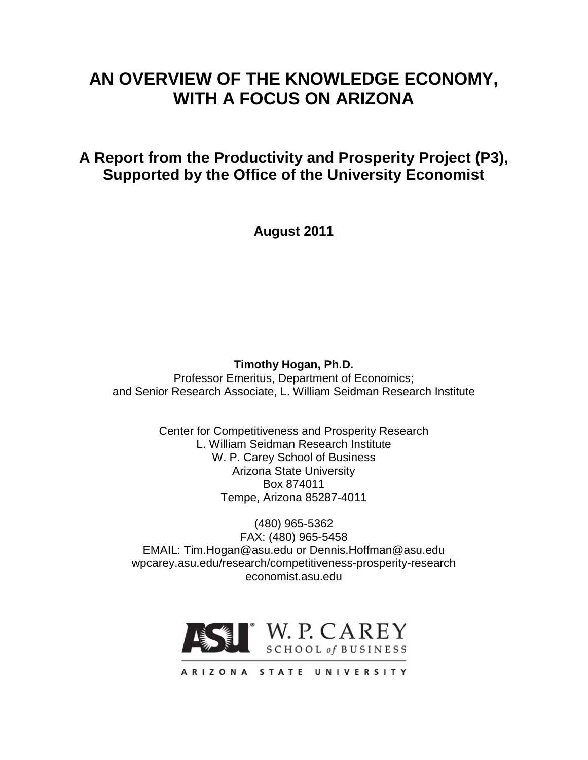# **AN OVERVIEW OF THE KNOWLEDGE ECONOMY, WITH A FOCUS ON ARIZONA**

**A Report from the Productivity and Prosperity Project (P3), Supported by the Office of the University Economist**

**August 2011**

# **Timothy Hogan, Ph.D.**

Professor Emeritus, Department of Economics; and Senior Research Associate, L. William Seidman Research Institute

> Center for Competitiveness and Prosperity Research L. William Seidman Research Institute W. P. Carey School of Business Arizona State University Box 874011 Tempe, Arizona 85287-4011

(480) 965-5362 FAX: (480) 965-5458 EMAIL: Tim.Hogan@asu.edu or Dennis.Hoffman@asu.edu wpcarey.asu.edu/research/competitiveness-prosperity-research economist.asu.edu



ARIZONA STATE UNIVERSITY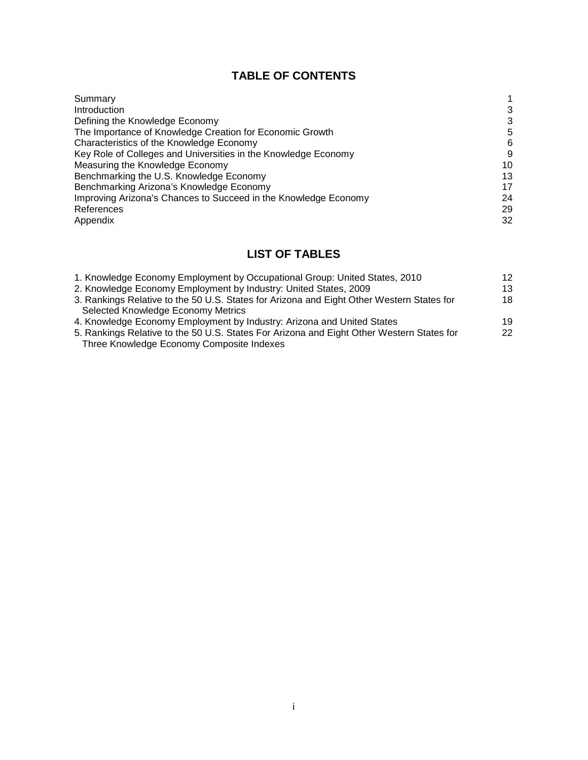# **TABLE OF CONTENTS**

| Summary                                                         |    |
|-----------------------------------------------------------------|----|
| <b>Introduction</b>                                             | 3  |
| Defining the Knowledge Economy                                  | 3  |
| The Importance of Knowledge Creation for Economic Growth        | 5  |
| Characteristics of the Knowledge Economy                        | 6  |
| Key Role of Colleges and Universities in the Knowledge Economy  | 9  |
| Measuring the Knowledge Economy                                 | 10 |
| Benchmarking the U.S. Knowledge Economy                         | 13 |
| Benchmarking Arizona's Knowledge Economy                        | 17 |
| Improving Arizona's Chances to Succeed in the Knowledge Economy | 24 |
| References                                                      | 29 |
| Appendix                                                        | 32 |

# **LIST OF TABLES**

| 1. Knowledge Economy Employment by Occupational Group: United States, 2010                | 12 <sup>2</sup> |
|-------------------------------------------------------------------------------------------|-----------------|
| 2. Knowledge Economy Employment by Industry: United States, 2009                          | 13              |
| 3. Rankings Relative to the 50 U.S. States for Arizona and Eight Other Western States for | 18              |
| Selected Knowledge Economy Metrics                                                        |                 |
| 4. Knowledge Economy Employment by Industry: Arizona and United States                    | 19              |
| 5. Rankings Relative to the 50 U.S. States For Arizona and Eight Other Western States for | $22^{\circ}$    |
| Three Knowledge Economy Composite Indexes                                                 |                 |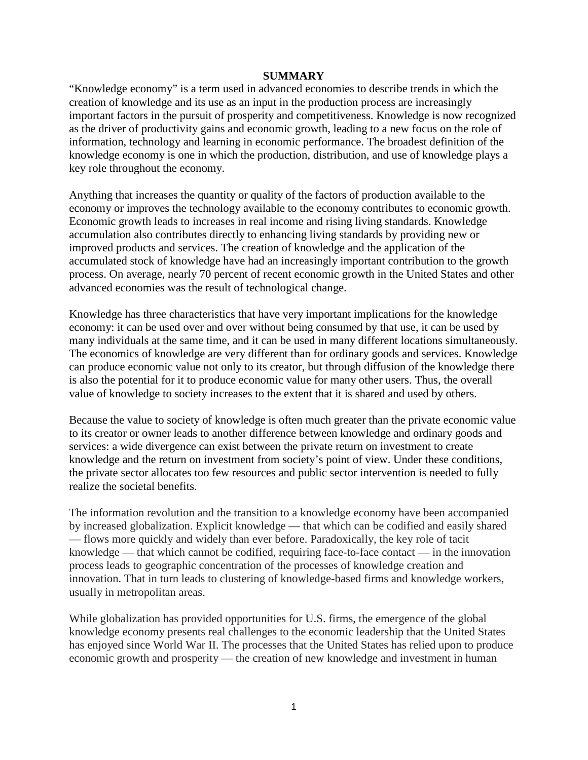#### **SUMMARY**

"Knowledge economy" is a term used in advanced economies to describe trends in which the creation of knowledge and its use as an input in the production process are increasingly important factors in the pursuit of prosperity and competitiveness. Knowledge is now recognized as the driver of productivity gains and economic growth, leading to a new focus on the role of information, technology and learning in economic performance. The broadest definition of the knowledge economy is one in which the production, distribution, and use of knowledge plays a key role throughout the economy.

Anything that increases the quantity or quality of the factors of production available to the economy or improves the technology available to the economy contributes to economic growth. Economic growth leads to increases in real income and rising living standards. Knowledge accumulation also contributes directly to enhancing living standards by providing new or improved products and services. The creation of knowledge and the application of the accumulated stock of knowledge have had an increasingly important contribution to the growth process. On average, nearly 70 percent of recent economic growth in the United States and other advanced economies was the result of technological change.

Knowledge has three characteristics that have very important implications for the knowledge economy: it can be used over and over without being consumed by that use, it can be used by many individuals at the same time, and it can be used in many different locations simultaneously. The economics of knowledge are very different than for ordinary goods and services. Knowledge can produce economic value not only to its creator, but through diffusion of the knowledge there is also the potential for it to produce economic value for many other users. Thus, the overall value of knowledge to society increases to the extent that it is shared and used by others.

Because the value to society of knowledge is often much greater than the private economic value to its creator or owner leads to another difference between knowledge and ordinary goods and services: a wide divergence can exist between the private return on investment to create knowledge and the return on investment from society's point of view. Under these conditions, the private sector allocates too few resources and public sector intervention is needed to fully realize the societal benefits.

The information revolution and the transition to a knowledge economy have been accompanied by increased globalization. Explicit knowledge — that which can be codified and easily shared — flows more quickly and widely than ever before. Paradoxically, the key role of tacit knowledge — that which cannot be codified, requiring face-to-face contact — in the innovation process leads to geographic concentration of the processes of knowledge creation and innovation. That in turn leads to clustering of knowledge-based firms and knowledge workers, usually in metropolitan areas.

While globalization has provided opportunities for U.S. firms, the emergence of the global knowledge economy presents real challenges to the economic leadership that the United States has enjoyed since World War II. The processes that the United States has relied upon to produce economic growth and prosperity — the creation of new knowledge and investment in human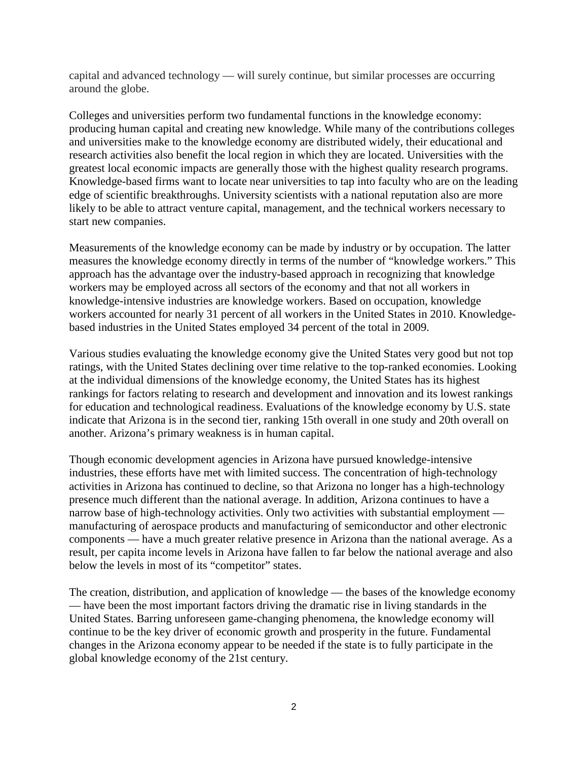capital and advanced technology — will surely continue, but similar processes are occurring around the globe.

Colleges and universities perform two fundamental functions in the knowledge economy: producing human capital and creating new knowledge. While many of the contributions colleges and universities make to the knowledge economy are distributed widely, their educational and research activities also benefit the local region in which they are located. Universities with the greatest local economic impacts are generally those with the highest quality research programs. Knowledge-based firms want to locate near universities to tap into faculty who are on the leading edge of scientific breakthroughs. University scientists with a national reputation also are more likely to be able to attract venture capital, management, and the technical workers necessary to start new companies.

Measurements of the knowledge economy can be made by industry or by occupation. The latter measures the knowledge economy directly in terms of the number of "knowledge workers." This approach has the advantage over the industry-based approach in recognizing that knowledge workers may be employed across all sectors of the economy and that not all workers in knowledge-intensive industries are knowledge workers. Based on occupation, knowledge workers accounted for nearly 31 percent of all workers in the United States in 2010. Knowledgebased industries in the United States employed 34 percent of the total in 2009.

Various studies evaluating the knowledge economy give the United States very good but not top ratings, with the United States declining over time relative to the top-ranked economies. Looking at the individual dimensions of the knowledge economy, the United States has its highest rankings for factors relating to research and development and innovation and its lowest rankings for education and technological readiness. Evaluations of the knowledge economy by U.S. state indicate that Arizona is in the second tier, ranking 15th overall in one study and 20th overall on another. Arizona's primary weakness is in human capital.

Though economic development agencies in Arizona have pursued knowledge-intensive industries, these efforts have met with limited success. The concentration of high-technology activities in Arizona has continued to decline, so that Arizona no longer has a high-technology presence much different than the national average. In addition, Arizona continues to have a narrow base of high-technology activities. Only two activities with substantial employment manufacturing of aerospace products and manufacturing of semiconductor and other electronic components — have a much greater relative presence in Arizona than the national average. As a result, per capita income levels in Arizona have fallen to far below the national average and also below the levels in most of its "competitor" states.

The creation, distribution, and application of knowledge — the bases of the knowledge economy — have been the most important factors driving the dramatic rise in living standards in the United States. Barring unforeseen game-changing phenomena, the knowledge economy will continue to be the key driver of economic growth and prosperity in the future. Fundamental changes in the Arizona economy appear to be needed if the state is to fully participate in the global knowledge economy of the 21st century.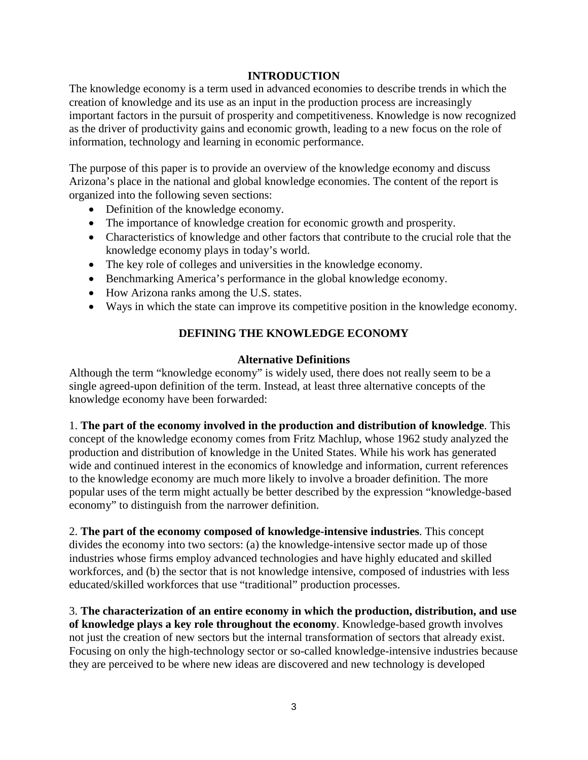# **INTRODUCTION**

The knowledge economy is a term used in advanced economies to describe trends in which the creation of knowledge and its use as an input in the production process are increasingly important factors in the pursuit of prosperity and competitiveness. Knowledge is now recognized as the driver of productivity gains and economic growth, leading to a new focus on the role of information, technology and learning in economic performance.

The purpose of this paper is to provide an overview of the knowledge economy and discuss Arizona's place in the national and global knowledge economies. The content of the report is organized into the following seven sections:

- Definition of the knowledge economy.
- The importance of knowledge creation for economic growth and prosperity.
- Characteristics of knowledge and other factors that contribute to the crucial role that the knowledge economy plays in today's world.
- The key role of colleges and universities in the knowledge economy.
- Benchmarking America's performance in the global knowledge economy.
- How Arizona ranks among the U.S. states.
- Ways in which the state can improve its competitive position in the knowledge economy.

# **DEFINING THE KNOWLEDGE ECONOMY**

# **Alternative Definitions**

Although the term "knowledge economy" is widely used, there does not really seem to be a single agreed-upon definition of the term. Instead, at least three alternative concepts of the knowledge economy have been forwarded:

1. **The part of the economy involved in the production and distribution of knowledge**. This concept of the knowledge economy comes from Fritz Machlup, whose 1962 study analyzed the production and distribution of knowledge in the United States. While his work has generated wide and continued interest in the economics of knowledge and information, current references to the knowledge economy are much more likely to involve a broader definition. The more popular uses of the term might actually be better described by the expression "knowledge-based economy" to distinguish from the narrower definition.

2. **The part of the economy composed of knowledge-intensive industries**. This concept divides the economy into two sectors: (a) the knowledge-intensive sector made up of those industries whose firms employ advanced technologies and have highly educated and skilled workforces, and (b) the sector that is not knowledge intensive, composed of industries with less educated/skilled workforces that use "traditional" production processes.

3. **The characterization of an entire economy in which the production, distribution, and use of knowledge plays a key role throughout the economy**. Knowledge-based growth involves not just the creation of new sectors but the internal transformation of sectors that already exist. Focusing on only the high-technology sector or so-called knowledge-intensive industries because they are perceived to be where new ideas are discovered and new technology is developed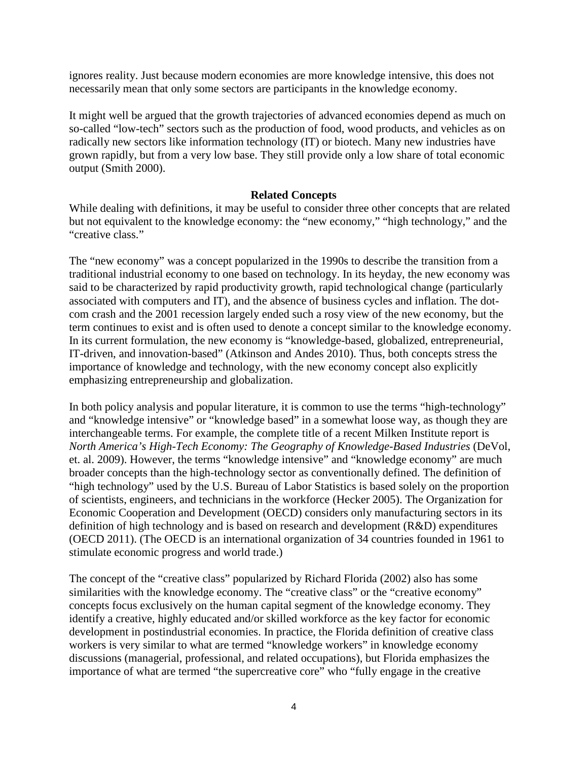ignores reality. Just because modern economies are more knowledge intensive, this does not necessarily mean that only some sectors are participants in the knowledge economy.

It might well be argued that the growth trajectories of advanced economies depend as much on so-called "low-tech" sectors such as the production of food, wood products, and vehicles as on radically new sectors like information technology (IT) or biotech. Many new industries have grown rapidly, but from a very low base. They still provide only a low share of total economic output (Smith 2000).

# **Related Concepts**

While dealing with definitions, it may be useful to consider three other concepts that are related but not equivalent to the knowledge economy: the "new economy," "high technology," and the "creative class."

The "new economy" was a concept popularized in the 1990s to describe the transition from a traditional industrial economy to one based on technology. In its heyday, the new economy was said to be characterized by rapid productivity growth, rapid technological change (particularly associated with computers and IT), and the absence of business cycles and inflation. The dotcom crash and the 2001 recession largely ended such a rosy view of the new economy, but the term continues to exist and is often used to denote a concept similar to the knowledge economy. In its current formulation, the new economy is "knowledge-based, globalized, entrepreneurial, IT-driven, and innovation-based" (Atkinson and Andes 2010). Thus, both concepts stress the importance of knowledge and technology, with the new economy concept also explicitly emphasizing entrepreneurship and globalization.

In both policy analysis and popular literature, it is common to use the terms "high-technology" and "knowledge intensive" or "knowledge based" in a somewhat loose way, as though they are interchangeable terms. For example, the complete title of a recent Milken Institute report is *North America's High-Tech Economy: The Geography of Knowledge-Based Industries* (DeVol, et. al. 2009). However, the terms "knowledge intensive" and "knowledge economy" are much broader concepts than the high-technology sector as conventionally defined. The definition of "high technology" used by the U.S. Bureau of Labor Statistics is based solely on the proportion of scientists, engineers, and technicians in the workforce (Hecker 2005). The Organization for Economic Cooperation and Development (OECD) considers only manufacturing sectors in its definition of high technology and is based on research and development (R&D) expenditures (OECD 2011). (The OECD is an international organization of 34 countries founded in 1961 to stimulate economic progress and world trade.)

The concept of the "creative class" popularized by Richard Florida (2002) also has some similarities with the knowledge economy. The "creative class" or the "creative economy" concepts focus exclusively on the human capital segment of the knowledge economy. They identify a creative, highly educated and/or skilled workforce as the key factor for economic development in postindustrial economies. In practice, the Florida definition of creative class workers is very similar to what are termed "knowledge workers" in knowledge economy discussions (managerial, professional, and related occupations), but Florida emphasizes the importance of what are termed "the supercreative core" who "fully engage in the creative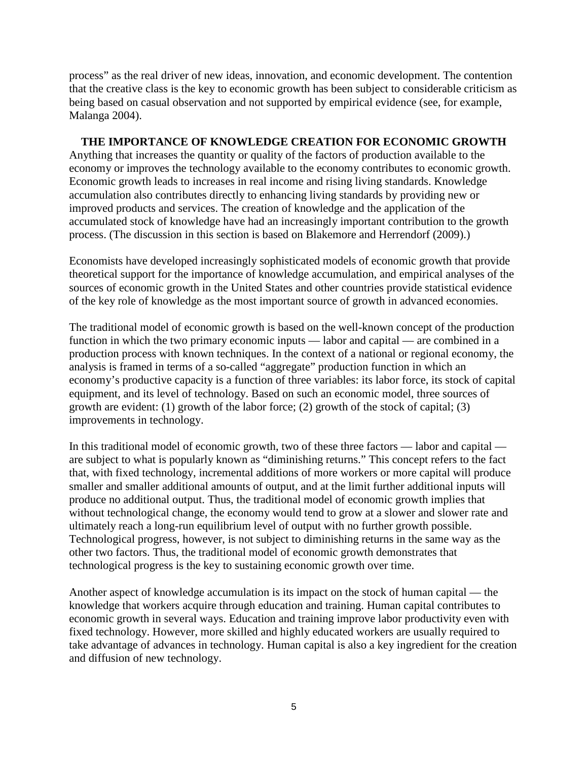process" as the real driver of new ideas, innovation, and economic development. The contention that the creative class is the key to economic growth has been subject to considerable criticism as being based on casual observation and not supported by empirical evidence (see, for example, Malanga 2004).

# **THE IMPORTANCE OF KNOWLEDGE CREATION FOR ECONOMIC GROWTH**

Anything that increases the quantity or quality of the factors of production available to the economy or improves the technology available to the economy contributes to economic growth. Economic growth leads to increases in real income and rising living standards. Knowledge accumulation also contributes directly to enhancing living standards by providing new or improved products and services. The creation of knowledge and the application of the accumulated stock of knowledge have had an increasingly important contribution to the growth process. (The discussion in this section is based on Blakemore and Herrendorf (2009).)

Economists have developed increasingly sophisticated models of economic growth that provide theoretical support for the importance of knowledge accumulation, and empirical analyses of the sources of economic growth in the United States and other countries provide statistical evidence of the key role of knowledge as the most important source of growth in advanced economies.

The traditional model of economic growth is based on the well-known concept of the production function in which the two primary economic inputs — labor and capital — are combined in a production process with known techniques. In the context of a national or regional economy, the analysis is framed in terms of a so-called "aggregate" production function in which an economy's productive capacity is a function of three variables: its labor force, its stock of capital equipment, and its level of technology. Based on such an economic model, three sources of growth are evident: (1) growth of the labor force; (2) growth of the stock of capital; (3) improvements in technology.

In this traditional model of economic growth, two of these three factors — labor and capital are subject to what is popularly known as "diminishing returns." This concept refers to the fact that, with fixed technology, incremental additions of more workers or more capital will produce smaller and smaller additional amounts of output, and at the limit further additional inputs will produce no additional output. Thus, the traditional model of economic growth implies that without technological change, the economy would tend to grow at a slower and slower rate and ultimately reach a long-run equilibrium level of output with no further growth possible. Technological progress, however, is not subject to diminishing returns in the same way as the other two factors. Thus, the traditional model of economic growth demonstrates that technological progress is the key to sustaining economic growth over time.

Another aspect of knowledge accumulation is its impact on the stock of human capital — the knowledge that workers acquire through education and training. Human capital contributes to economic growth in several ways. Education and training improve labor productivity even with fixed technology. However, more skilled and highly educated workers are usually required to take advantage of advances in technology. Human capital is also a key ingredient for the creation and diffusion of new technology.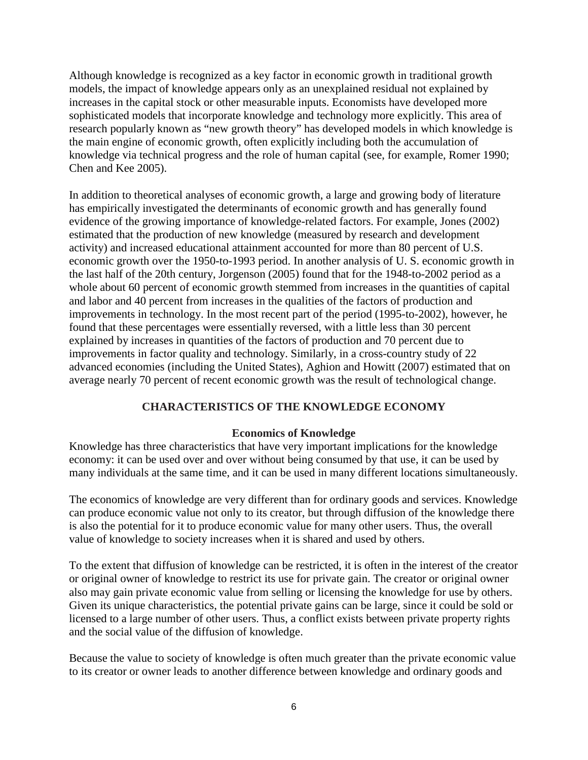Although knowledge is recognized as a key factor in economic growth in traditional growth models, the impact of knowledge appears only as an unexplained residual not explained by increases in the capital stock or other measurable inputs. Economists have developed more sophisticated models that incorporate knowledge and technology more explicitly. This area of research popularly known as "new growth theory" has developed models in which knowledge is the main engine of economic growth, often explicitly including both the accumulation of knowledge via technical progress and the role of human capital (see, for example, Romer 1990; Chen and Kee 2005).

In addition to theoretical analyses of economic growth, a large and growing body of literature has empirically investigated the determinants of economic growth and has generally found evidence of the growing importance of knowledge-related factors. For example, Jones (2002) estimated that the production of new knowledge (measured by research and development activity) and increased educational attainment accounted for more than 80 percent of U.S. economic growth over the 1950-to-1993 period. In another analysis of U. S. economic growth in the last half of the 20th century, Jorgenson (2005) found that for the 1948-to-2002 period as a whole about 60 percent of economic growth stemmed from increases in the quantities of capital and labor and 40 percent from increases in the qualities of the factors of production and improvements in technology. In the most recent part of the period (1995-to-2002), however, he found that these percentages were essentially reversed, with a little less than 30 percent explained by increases in quantities of the factors of production and 70 percent due to improvements in factor quality and technology. Similarly, in a cross-country study of 22 advanced economies (including the United States), Aghion and Howitt (2007) estimated that on average nearly 70 percent of recent economic growth was the result of technological change.

# **CHARACTERISTICS OF THE KNOWLEDGE ECONOMY**

# **Economics of Knowledge**

Knowledge has three characteristics that have very important implications for the knowledge economy: it can be used over and over without being consumed by that use, it can be used by many individuals at the same time, and it can be used in many different locations simultaneously.

The economics of knowledge are very different than for ordinary goods and services. Knowledge can produce economic value not only to its creator, but through diffusion of the knowledge there is also the potential for it to produce economic value for many other users. Thus, the overall value of knowledge to society increases when it is shared and used by others.

To the extent that diffusion of knowledge can be restricted, it is often in the interest of the creator or original owner of knowledge to restrict its use for private gain. The creator or original owner also may gain private economic value from selling or licensing the knowledge for use by others. Given its unique characteristics, the potential private gains can be large, since it could be sold or licensed to a large number of other users. Thus, a conflict exists between private property rights and the social value of the diffusion of knowledge.

Because the value to society of knowledge is often much greater than the private economic value to its creator or owner leads to another difference between knowledge and ordinary goods and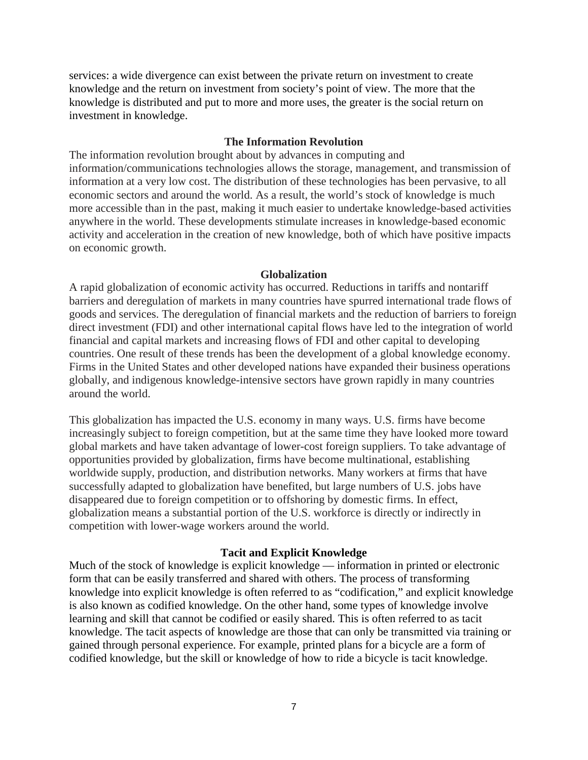services: a wide divergence can exist between the private return on investment to create knowledge and the return on investment from society's point of view. The more that the knowledge is distributed and put to more and more uses, the greater is the social return on investment in knowledge.

#### **The Information Revolution**

The information revolution brought about by advances in computing and information/communications technologies allows the storage, management, and transmission of information at a very low cost. The distribution of these technologies has been pervasive, to all economic sectors and around the world. As a result, the world's stock of knowledge is much more accessible than in the past, making it much easier to undertake knowledge-based activities anywhere in the world. These developments stimulate increases in knowledge-based economic activity and acceleration in the creation of new knowledge, both of which have positive impacts on economic growth.

#### **Globalization**

A rapid globalization of economic activity has occurred. Reductions in tariffs and nontariff barriers and deregulation of markets in many countries have spurred international trade flows of goods and services. The deregulation of financial markets and the reduction of barriers to foreign direct investment (FDI) and other international capital flows have led to the integration of world financial and capital markets and increasing flows of FDI and other capital to developing countries. One result of these trends has been the development of a global knowledge economy. Firms in the United States and other developed nations have expanded their business operations globally, and indigenous knowledge-intensive sectors have grown rapidly in many countries around the world.

This globalization has impacted the U.S. economy in many ways. U.S. firms have become increasingly subject to foreign competition, but at the same time they have looked more toward global markets and have taken advantage of lower-cost foreign suppliers. To take advantage of opportunities provided by globalization, firms have become multinational, establishing worldwide supply, production, and distribution networks. Many workers at firms that have successfully adapted to globalization have benefited, but large numbers of U.S. jobs have disappeared due to foreign competition or to offshoring by domestic firms. In effect, globalization means a substantial portion of the U.S. workforce is directly or indirectly in competition with lower-wage workers around the world.

#### **Tacit and Explicit Knowledge**

Much of the stock of knowledge is explicit knowledge — information in printed or electronic form that can be easily transferred and shared with others. The process of transforming knowledge into explicit knowledge is often referred to as "codification," and explicit knowledge is also known as codified knowledge. On the other hand, some types of knowledge involve learning and skill that cannot be codified or easily shared. This is often referred to as tacit knowledge. The tacit aspects of knowledge are those that can only be transmitted via training or gained through personal experience. For example, printed plans for a bicycle are a form of codified knowledge, but the skill or knowledge of how to ride a bicycle is tacit knowledge.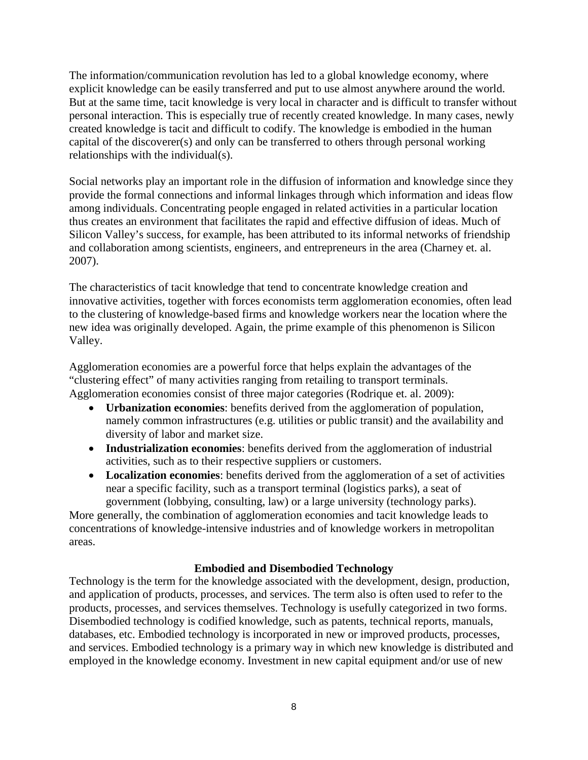The information/communication revolution has led to a global knowledge economy, where explicit knowledge can be easily transferred and put to use almost anywhere around the world. But at the same time, tacit knowledge is very local in character and is difficult to transfer without personal interaction. This is especially true of recently created knowledge. In many cases, newly created knowledge is tacit and difficult to codify. The knowledge is embodied in the human capital of the discoverer(s) and only can be transferred to others through personal working relationships with the individual(s).

Social networks play an important role in the diffusion of information and knowledge since they provide the formal connections and informal linkages through which information and ideas flow among individuals. Concentrating people engaged in related activities in a particular location thus creates an environment that facilitates the rapid and effective diffusion of ideas. Much of Silicon Valley's success, for example, has been attributed to its informal networks of friendship and collaboration among scientists, engineers, and entrepreneurs in the area (Charney et. al. 2007).

The characteristics of tacit knowledge that tend to concentrate knowledge creation and innovative activities, together with forces economists term agglomeration economies, often lead to the clustering of knowledge-based firms and knowledge workers near the location where the new idea was originally developed. Again, the prime example of this phenomenon is Silicon Valley.

Agglomeration economies are a powerful force that helps explain the advantages of the "clustering effect" of many activities ranging from retailing to transport terminals. Agglomeration economies consist of three major categories (Rodrique et. al. 2009):

- **Urbanization economies**: benefits derived from the agglomeration of population, namely common infrastructures (e.g. utilities or public transit) and the availability and diversity of labor and market size.
- **Industrialization economies**: benefits derived from the agglomeration of industrial activities, such as to their respective suppliers or customers.
- **Localization economies**: benefits derived from the agglomeration of a set of activities near a specific facility, such as a transport terminal (logistics parks), a seat of government (lobbying, consulting, law) or a large university (technology parks).

More generally, the combination of agglomeration economies and tacit knowledge leads to concentrations of knowledge-intensive industries and of knowledge workers in metropolitan areas.

# **Embodied and Disembodied Technology**

Technology is the term for the knowledge associated with the development, design, production, and application of products, processes, and services. The term also is often used to refer to the products, processes, and services themselves. Technology is usefully categorized in two forms. Disembodied technology is codified knowledge, such as patents, technical reports, manuals, databases, etc. Embodied technology is incorporated in new or improved products, processes, and services. Embodied technology is a primary way in which new knowledge is distributed and employed in the knowledge economy. Investment in new capital equipment and/or use of new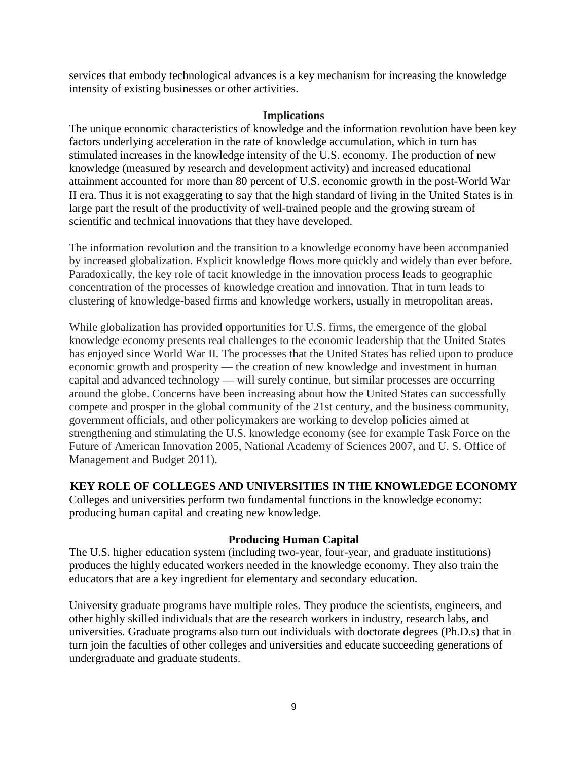services that embody technological advances is a key mechanism for increasing the knowledge intensity of existing businesses or other activities.

#### **Implications**

The unique economic characteristics of knowledge and the information revolution have been key factors underlying acceleration in the rate of knowledge accumulation, which in turn has stimulated increases in the knowledge intensity of the U.S. economy. The production of new knowledge (measured by research and development activity) and increased educational attainment accounted for more than 80 percent of U.S. economic growth in the post-World War II era. Thus it is not exaggerating to say that the high standard of living in the United States is in large part the result of the productivity of well-trained people and the growing stream of scientific and technical innovations that they have developed.

The information revolution and the transition to a knowledge economy have been accompanied by increased globalization. Explicit knowledge flows more quickly and widely than ever before. Paradoxically, the key role of tacit knowledge in the innovation process leads to geographic concentration of the processes of knowledge creation and innovation. That in turn leads to clustering of knowledge-based firms and knowledge workers, usually in metropolitan areas.

While globalization has provided opportunities for U.S. firms, the emergence of the global knowledge economy presents real challenges to the economic leadership that the United States has enjoyed since World War II. The processes that the United States has relied upon to produce economic growth and prosperity — the creation of new knowledge and investment in human capital and advanced technology — will surely continue, but similar processes are occurring around the globe. Concerns have been increasing about how the United States can successfully compete and prosper in the global community of the 21st century, and the business community, government officials, and other policymakers are working to develop policies aimed at strengthening and stimulating the U.S. knowledge economy (see for example Task Force on the Future of American Innovation 2005, National Academy of Sciences 2007, and U. S. Office of Management and Budget 2011).

# **KEY ROLE OF COLLEGES AND UNIVERSITIES IN THE KNOWLEDGE ECONOMY**

Colleges and universities perform two fundamental functions in the knowledge economy: producing human capital and creating new knowledge.

# **Producing Human Capital**

The U.S. higher education system (including two-year, four-year, and graduate institutions) produces the highly educated workers needed in the knowledge economy. They also train the educators that are a key ingredient for elementary and secondary education.

University graduate programs have multiple roles. They produce the scientists, engineers, and other highly skilled individuals that are the research workers in industry, research labs, and universities. Graduate programs also turn out individuals with doctorate degrees (Ph.D.s) that in turn join the faculties of other colleges and universities and educate succeeding generations of undergraduate and graduate students.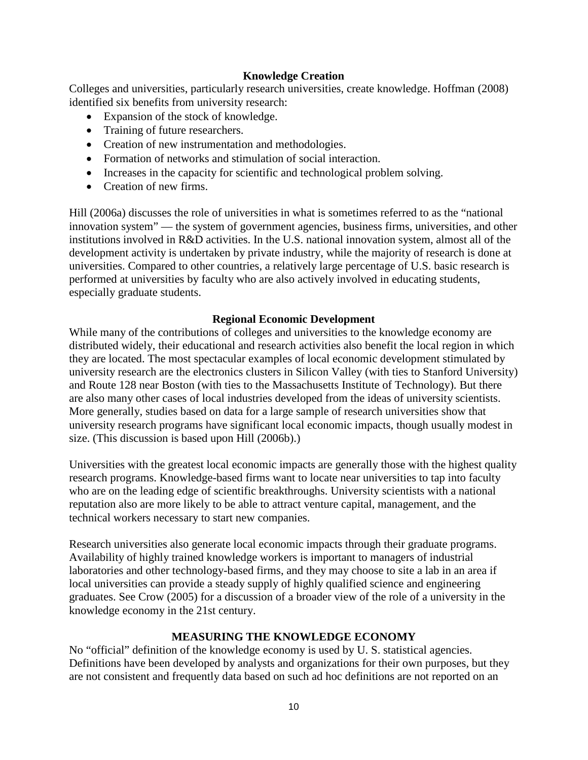# **Knowledge Creation**

Colleges and universities, particularly research universities, create knowledge. Hoffman (2008) identified six benefits from university research:

- Expansion of the stock of knowledge.
- Training of future researchers.
- Creation of new instrumentation and methodologies.
- Formation of networks and stimulation of social interaction.
- Increases in the capacity for scientific and technological problem solving.
- Creation of new firms.

Hill (2006a) discusses the role of universities in what is sometimes referred to as the "national innovation system" — the system of government agencies, business firms, universities, and other institutions involved in R&D activities. In the U.S. national innovation system, almost all of the development activity is undertaken by private industry, while the majority of research is done at universities. Compared to other countries, a relatively large percentage of U.S. basic research is performed at universities by faculty who are also actively involved in educating students, especially graduate students.

# **Regional Economic Development**

While many of the contributions of colleges and universities to the knowledge economy are distributed widely, their educational and research activities also benefit the local region in which they are located. The most spectacular examples of local economic development stimulated by university research are the electronics clusters in Silicon Valley (with ties to Stanford University) and Route 128 near Boston (with ties to the Massachusetts Institute of Technology). But there are also many other cases of local industries developed from the ideas of university scientists. More generally, studies based on data for a large sample of research universities show that university research programs have significant local economic impacts, though usually modest in size. (This discussion is based upon Hill (2006b).)

Universities with the greatest local economic impacts are generally those with the highest quality research programs. Knowledge-based firms want to locate near universities to tap into faculty who are on the leading edge of scientific breakthroughs. University scientists with a national reputation also are more likely to be able to attract venture capital, management, and the technical workers necessary to start new companies.

Research universities also generate local economic impacts through their graduate programs. Availability of highly trained knowledge workers is important to managers of industrial laboratories and other technology-based firms, and they may choose to site a lab in an area if local universities can provide a steady supply of highly qualified science and engineering graduates. See Crow (2005) for a discussion of a broader view of the role of a university in the knowledge economy in the 21st century.

# **MEASURING THE KNOWLEDGE ECONOMY**

No "official" definition of the knowledge economy is used by U. S. statistical agencies. Definitions have been developed by analysts and organizations for their own purposes, but they are not consistent and frequently data based on such ad hoc definitions are not reported on an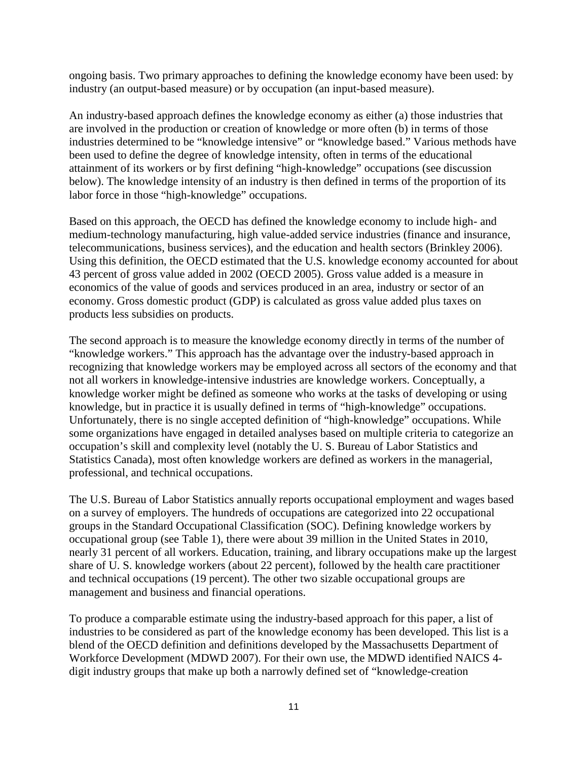ongoing basis. Two primary approaches to defining the knowledge economy have been used: by industry (an output-based measure) or by occupation (an input-based measure).

An industry-based approach defines the knowledge economy as either (a) those industries that are involved in the production or creation of knowledge or more often (b) in terms of those industries determined to be "knowledge intensive" or "knowledge based." Various methods have been used to define the degree of knowledge intensity, often in terms of the educational attainment of its workers or by first defining "high-knowledge" occupations (see discussion below). The knowledge intensity of an industry is then defined in terms of the proportion of its labor force in those "high-knowledge" occupations.

Based on this approach, the OECD has defined the knowledge economy to include high- and medium-technology manufacturing, high value-added service industries (finance and insurance, telecommunications, business services), and the education and health sectors (Brinkley 2006). Using this definition, the OECD estimated that the U.S. knowledge economy accounted for about 43 percent of gross value added in 2002 (OECD 2005). Gross value added is a measure in [economics](http://en.wikipedia.org/wiki/Economics) of the value of [goods](http://en.wikipedia.org/wiki/Good_(economics_and_accounting)) and [services](http://en.wikipedia.org/wiki/Service_(economics)) produced in an area, industry or sector of an [economy.](http://en.wikipedia.org/wiki/Economy) Gross domestic product (GDP) is calculated as gross value added plus [taxes](http://en.wikipedia.org/wiki/Tax) on products less [subsidies](http://en.wikipedia.org/wiki/Subsidy) on products.

The second approach is to measure the knowledge economy directly in terms of the number of "knowledge workers." This approach has the advantage over the industry-based approach in recognizing that knowledge workers may be employed across all sectors of the economy and that not all workers in knowledge-intensive industries are knowledge workers. Conceptually, a knowledge worker might be defined as someone who works at the tasks of developing or using knowledge, but in practice it is usually defined in terms of "high-knowledge" occupations. Unfortunately, there is no single accepted definition of "high-knowledge" occupations. While some organizations have engaged in detailed analyses based on multiple criteria to categorize an occupation's skill and complexity level (notably the U. S. Bureau of Labor Statistics and Statistics Canada), most often knowledge workers are defined as workers in the managerial, professional, and technical occupations.

The U.S. Bureau of Labor Statistics annually reports occupational employment and wages based on a survey of employers. The hundreds of occupations are categorized into 22 occupational groups in the Standard Occupational Classification (SOC). Defining knowledge workers by occupational group (see Table 1), there were about 39 million in the United States in 2010, nearly 31 percent of all workers. Education, training, and library occupations make up the largest share of U. S. knowledge workers (about 22 percent), followed by the health care practitioner and technical occupations (19 percent). The other two sizable occupational groups are management and business and financial operations.

To produce a comparable estimate using the industry-based approach for this paper, a list of industries to be considered as part of the knowledge economy has been developed. This list is a blend of the OECD definition and definitions developed by the Massachusetts Department of Workforce Development (MDWD 2007). For their own use, the MDWD identified NAICS 4 digit industry groups that make up both a narrowly defined set of "knowledge-creation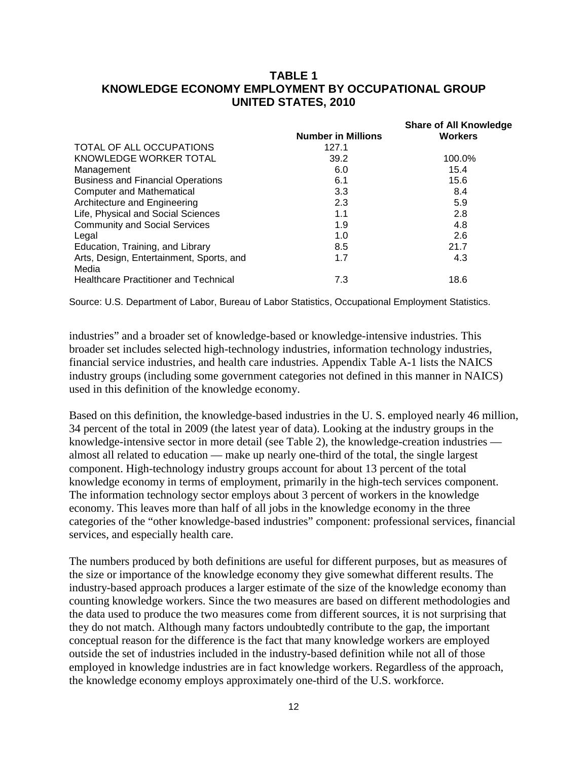# **TABLE 1 KNOWLEDGE ECONOMY EMPLOYMENT BY OCCUPATIONAL GROUP UNITED STATES, 2010**

|                                                   |                           | <b>Share of All Knowledge</b> |
|---------------------------------------------------|---------------------------|-------------------------------|
|                                                   | <b>Number in Millions</b> | <b>Workers</b>                |
| TOTAL OF ALL OCCUPATIONS                          | 127.1                     |                               |
| KNOWLEDGE WORKER TOTAL                            | 39.2                      | 100.0%                        |
| Management                                        | 6.0                       | 15.4                          |
| <b>Business and Financial Operations</b>          | 6.1                       | 15.6                          |
| <b>Computer and Mathematical</b>                  | 3.3                       | 8.4                           |
| Architecture and Engineering                      | 2.3                       | 5.9                           |
| Life, Physical and Social Sciences                | 1.1                       | 2.8                           |
| <b>Community and Social Services</b>              | 1.9                       | 4.8                           |
| Legal                                             | 1.0                       | 2.6                           |
| Education, Training, and Library                  | 8.5                       | 21.7                          |
| Arts, Design, Entertainment, Sports, and<br>Media | 1.7                       | 4.3                           |
| <b>Healthcare Practitioner and Technical</b>      | 7.3                       | 18.6                          |
|                                                   |                           |                               |

Source: U.S. Department of Labor, Bureau of Labor Statistics, Occupational Employment Statistics.

industries" and a broader set of knowledge-based or knowledge-intensive industries. This broader set includes selected high-technology industries, information technology industries, financial service industries, and health care industries. Appendix Table A-1 lists the NAICS industry groups (including some government categories not defined in this manner in NAICS) used in this definition of the knowledge economy.

Based on this definition, the knowledge-based industries in the U. S. employed nearly 46 million, 34 percent of the total in 2009 (the latest year of data). Looking at the industry groups in the knowledge-intensive sector in more detail (see Table 2), the knowledge-creation industries almost all related to education — make up nearly one-third of the total, the single largest component. High-technology industry groups account for about 13 percent of the total knowledge economy in terms of employment, primarily in the high-tech services component. The information technology sector employs about 3 percent of workers in the knowledge economy. This leaves more than half of all jobs in the knowledge economy in the three categories of the "other knowledge-based industries" component: professional services, financial services, and especially health care.

The numbers produced by both definitions are useful for different purposes, but as measures of the size or importance of the knowledge economy they give somewhat different results. The industry-based approach produces a larger estimate of the size of the knowledge economy than counting knowledge workers. Since the two measures are based on different methodologies and the data used to produce the two measures come from different sources, it is not surprising that they do not match. Although many factors undoubtedly contribute to the gap, the important conceptual reason for the difference is the fact that many knowledge workers are employed outside the set of industries included in the industry-based definition while not all of those employed in knowledge industries are in fact knowledge workers. Regardless of the approach, the knowledge economy employs approximately one-third of the U.S. workforce.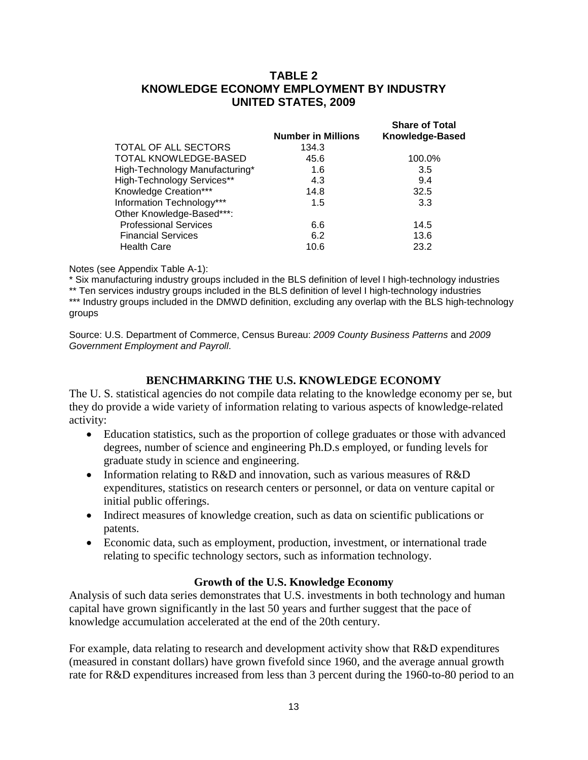# **TABLE 2 KNOWLEDGE ECONOMY EMPLOYMENT BY INDUSTRY UNITED STATES, 2009**

|                                | <b>Number in Millions</b> | <b>Share of Total</b><br>Knowledge-Based |  |  |  |  |
|--------------------------------|---------------------------|------------------------------------------|--|--|--|--|
| TOTAL OF ALL SECTORS           | 134.3                     |                                          |  |  |  |  |
| TOTAL KNOWLEDGE-BASED          | 45.6                      | 100.0%                                   |  |  |  |  |
| High-Technology Manufacturing* | 1.6                       | 3.5                                      |  |  |  |  |
| High-Technology Services**     | 4.3                       | 9.4                                      |  |  |  |  |
| Knowledge Creation***          | 14.8                      | 32.5                                     |  |  |  |  |
| Information Technology***      | 1.5                       | 3.3                                      |  |  |  |  |
| Other Knowledge-Based***:      |                           |                                          |  |  |  |  |
| <b>Professional Services</b>   | 6.6                       | 14.5                                     |  |  |  |  |
| <b>Financial Services</b>      | 6.2                       | 13.6                                     |  |  |  |  |
| <b>Health Care</b>             | 10.6                      | 23.2                                     |  |  |  |  |
|                                |                           |                                          |  |  |  |  |

Notes (see Appendix Table A-1):

\* Six manufacturing industry groups included in the BLS definition of level I high-technology industries

\*\* Ten services industry groups included in the BLS definition of level I high-technology industries \*\*\* Industry groups included in the DMWD definition, excluding any overlap with the BLS high-technology groups

Source: U.S. Department of Commerce, Census Bureau: *2009 County Business Patterns* and *2009 Government Employment and Payroll*.

# **BENCHMARKING THE U.S. KNOWLEDGE ECONOMY**

The U. S. statistical agencies do not compile data relating to the knowledge economy per se, but they do provide a wide variety of information relating to various aspects of knowledge-related activity:

- Education statistics, such as the proportion of college graduates or those with advanced degrees, number of science and engineering Ph.D.s employed, or funding levels for graduate study in science and engineering.
- Information relating to R&D and innovation, such as various measures of R&D expenditures, statistics on research centers or personnel, or data on venture capital or initial public offerings.
- Indirect measures of knowledge creation, such as data on scientific publications or patents.
- Economic data, such as employment, production, investment, or international trade relating to specific technology sectors, such as information technology.

# **Growth of the U.S. Knowledge Economy**

Analysis of such data series demonstrates that U.S. investments in both technology and human capital have grown significantly in the last 50 years and further suggest that the pace of knowledge accumulation accelerated at the end of the 20th century.

For example, data relating to research and development activity show that R&D expenditures (measured in constant dollars) have grown fivefold since 1960, and the average annual growth rate for R&D expenditures increased from less than 3 percent during the 1960-to-80 period to an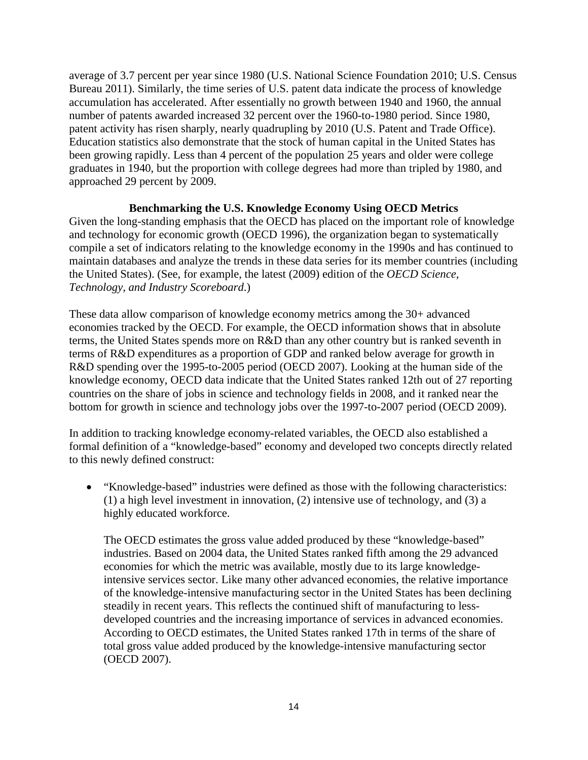average of 3.7 percent per year since 1980 (U.S. National Science Foundation 2010; U.S. Census Bureau 2011). Similarly, the time series of U.S. patent data indicate the process of knowledge accumulation has accelerated. After essentially no growth between 1940 and 1960, the annual number of patents awarded increased 32 percent over the 1960-to-1980 period. Since 1980, patent activity has risen sharply, nearly quadrupling by 2010 (U.S. Patent and Trade Office). Education statistics also demonstrate that the stock of human capital in the United States has been growing rapidly. Less than 4 percent of the population 25 years and older were college graduates in 1940, but the proportion with college degrees had more than tripled by 1980, and approached 29 percent by 2009.

# **Benchmarking the U.S. Knowledge Economy Using OECD Metrics**

Given the long-standing emphasis that the OECD has placed on the important role of knowledge and technology for economic growth (OECD 1996), the organization began to systematically compile a set of indicators relating to the knowledge economy in the 1990s and has continued to maintain databases and analyze the trends in these data series for its member countries (including the United States). (See, for example, the latest (2009) edition of the *OECD Science, Technology, and Industry Scoreboard*.)

These data allow comparison of knowledge economy metrics among the 30+ advanced economies tracked by the OECD. For example, the OECD information shows that in absolute terms, the United States spends more on R&D than any other country but is ranked seventh in terms of R&D expenditures as a proportion of GDP and ranked below average for growth in R&D spending over the 1995-to-2005 period (OECD 2007). Looking at the human side of the knowledge economy, OECD data indicate that the United States ranked 12th out of 27 reporting countries on the share of jobs in science and technology fields in 2008, and it ranked near the bottom for growth in science and technology jobs over the 1997-to-2007 period (OECD 2009).

In addition to tracking knowledge economy-related variables, the OECD also established a formal definition of a "knowledge-based" economy and developed two concepts directly related to this newly defined construct:

• "Knowledge-based" industries were defined as those with the following characteristics: (1) a high level investment in innovation, (2) intensive use of technology, and (3) a highly educated workforce.

The OECD estimates the gross value added produced by these "knowledge-based" industries. Based on 2004 data, the United States ranked fifth among the 29 advanced economies for which the metric was available, mostly due to its large knowledgeintensive services sector. Like many other advanced economies, the relative importance of the knowledge-intensive manufacturing sector in the United States has been declining steadily in recent years. This reflects the continued shift of manufacturing to lessdeveloped countries and the increasing importance of services in advanced economies. According to OECD estimates, the United States ranked 17th in terms of the share of total gross value added produced by the knowledge-intensive manufacturing sector (OECD 2007).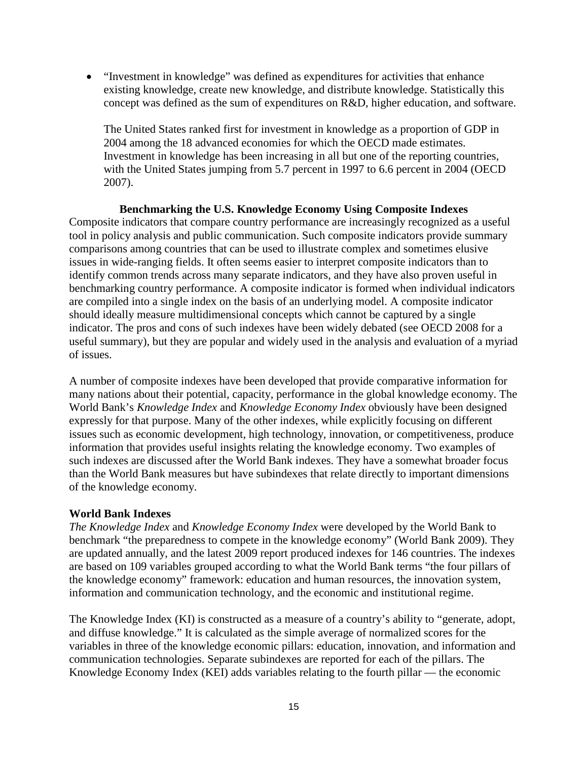• "Investment in knowledge" was defined as expenditures for activities that enhance existing knowledge, create new knowledge, and distribute knowledge. Statistically this concept was defined as the sum of expenditures on R&D, higher education, and software.

The United States ranked first for investment in knowledge as a proportion of GDP in 2004 among the 18 advanced economies for which the OECD made estimates. Investment in knowledge has been increasing in all but one of the reporting countries, with the United States jumping from 5.7 percent in 1997 to 6.6 percent in 2004 (OECD) 2007).

**Benchmarking the U.S. Knowledge Economy Using Composite Indexes** Composite indicators that compare country performance are increasingly recognized as a useful tool in policy analysis and public communication. Such composite indicators provide summary comparisons among countries that can be used to illustrate complex and sometimes elusive issues in wide-ranging fields. It often seems easier to interpret composite indicators than to identify common trends across many separate indicators, and they have also proven useful in benchmarking country performance. A composite indicator is formed when individual indicators are compiled into a single index on the basis of an underlying model. A composite indicator should ideally measure multidimensional concepts which cannot be captured by a single indicator. The pros and cons of such indexes have been widely debated (see OECD 2008 for a useful summary), but they are popular and widely used in the analysis and evaluation of a myriad of issues.

A number of composite indexes have been developed that provide comparative information for many nations about their potential, capacity, performance in the global knowledge economy. The World Bank's *Knowledge Index* and *Knowledge Economy Index* obviously have been designed expressly for that purpose. Many of the other indexes, while explicitly focusing on different issues such as economic development, high technology, innovation, or competitiveness, produce information that provides useful insights relating the knowledge economy. Two examples of such indexes are discussed after the World Bank indexes. They have a somewhat broader focus than the World Bank measures but have subindexes that relate directly to important dimensions of the knowledge economy.

# **World Bank Indexes**

*The Knowledge Index* and *Knowledge Economy Index* were developed by the World Bank to benchmark "the preparedness to compete in the knowledge economy" (World Bank 2009). They are updated annually, and the latest 2009 report produced indexes for 146 countries. The indexes are based on 109 variables grouped according to what the World Bank terms "the four pillars of the knowledge economy" framework: education and human resources, the innovation system, information and communication technology, and the economic and institutional regime.

The Knowledge Index (KI) is constructed as a measure of a country's ability to "generate, adopt, and diffuse knowledge." It is calculated as the simple average of normalized scores for the variables in three of the knowledge economic pillars: education, innovation, and information and communication technologies. Separate subindexes are reported for each of the pillars. The Knowledge Economy Index (KEI) adds variables relating to the fourth pillar — the economic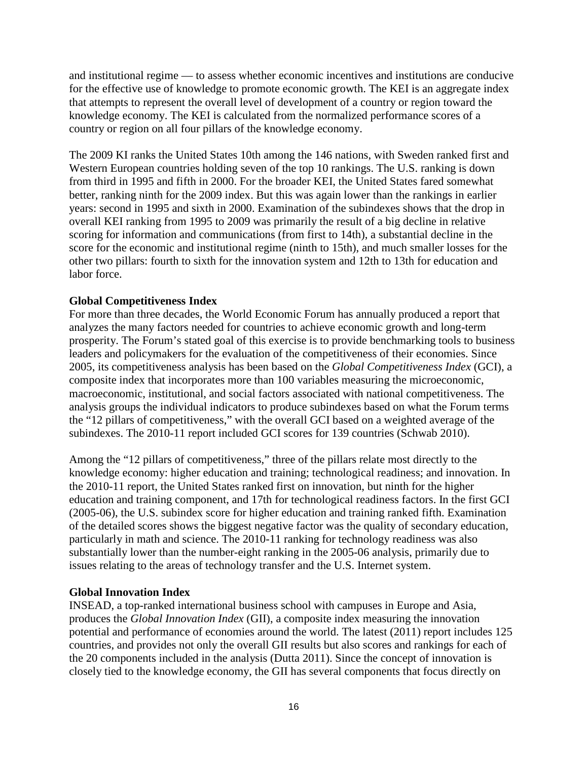and institutional regime — to assess whether economic incentives and institutions are conducive for the effective use of knowledge to promote economic growth. The KEI is an aggregate index that attempts to represent the overall level of development of a country or region toward the knowledge economy. The KEI is calculated from the normalized performance scores of a country or region on all four pillars of the knowledge economy.

The 2009 KI ranks the United States 10th among the 146 nations, with Sweden ranked first and Western European countries holding seven of the top 10 rankings. The U.S. ranking is down from third in 1995 and fifth in 2000. For the broader KEI, the United States fared somewhat better, ranking ninth for the 2009 index. But this was again lower than the rankings in earlier years: second in 1995 and sixth in 2000. Examination of the subindexes shows that the drop in overall KEI ranking from 1995 to 2009 was primarily the result of a big decline in relative scoring for information and communications (from first to 14th), a substantial decline in the score for the economic and institutional regime (ninth to 15th), and much smaller losses for the other two pillars: fourth to sixth for the innovation system and 12th to 13th for education and labor force.

# **Global Competitiveness Index**

For more than three decades, the World Economic Forum has annually produced a report that analyzes the many factors needed for countries to achieve economic growth and long-term prosperity. The Forum's stated goal of this exercise is to provide benchmarking tools to business leaders and policymakers for the evaluation of the competitiveness of their economies. Since 2005, its competitiveness analysis has been based on the *Global Competitiveness Index* (GCI), a composite index that incorporates more than 100 variables measuring the microeconomic, macroeconomic, institutional, and social factors associated with national competitiveness. The analysis groups the individual indicators to produce subindexes based on what the Forum terms the "12 pillars of competitiveness," with the overall GCI based on a weighted average of the subindexes. The 2010-11 report included GCI scores for 139 countries (Schwab 2010).

Among the "12 pillars of competitiveness," three of the pillars relate most directly to the knowledge economy: higher education and training; technological readiness; and innovation. In the 2010-11 report, the United States ranked first on innovation, but ninth for the higher education and training component, and 17th for technological readiness factors. In the first GCI (2005-06), the U.S. subindex score for higher education and training ranked fifth. Examination of the detailed scores shows the biggest negative factor was the quality of secondary education, particularly in math and science. The 2010-11 ranking for technology readiness was also substantially lower than the number-eight ranking in the 2005-06 analysis, primarily due to issues relating to the areas of technology transfer and the U.S. Internet system.

# **Global Innovation Index**

INSEAD, a top-ranked international business school with campuses in Europe and Asia, produces the *Global Innovation Index* (GII), a composite index measuring the innovation potential and performance of economies around the world. The latest (2011) report includes 125 countries, and provides not only the overall GII results but also scores and rankings for each of the 20 components included in the analysis (Dutta 2011). Since the concept of innovation is closely tied to the knowledge economy, the GII has several components that focus directly on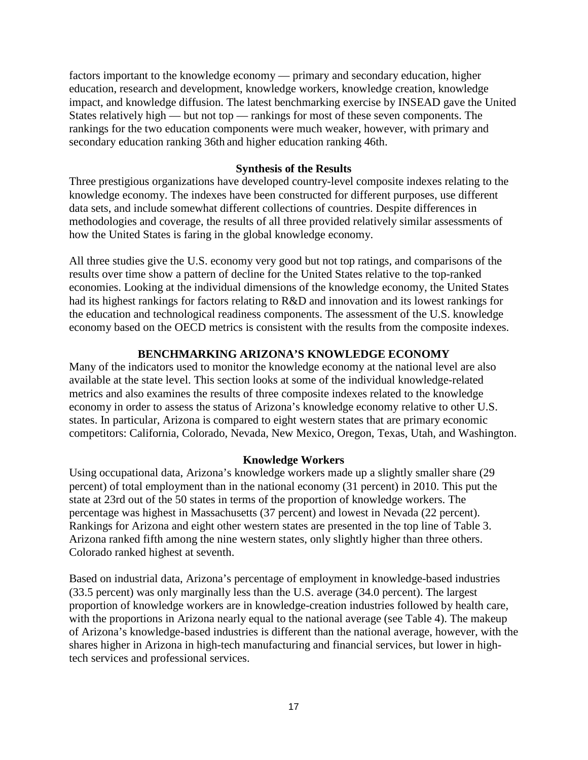factors important to the knowledge economy — primary and secondary education, higher education, research and development, knowledge workers, knowledge creation, knowledge impact, and knowledge diffusion. The latest benchmarking exercise by INSEAD gave the United States relatively high — but not top — rankings for most of these seven components. The rankings for the two education components were much weaker, however, with primary and secondary education ranking 36th and higher education ranking 46th.

#### **Synthesis of the Results**

Three prestigious organizations have developed country-level composite indexes relating to the knowledge economy. The indexes have been constructed for different purposes, use different data sets, and include somewhat different collections of countries. Despite differences in methodologies and coverage, the results of all three provided relatively similar assessments of how the United States is faring in the global knowledge economy.

All three studies give the U.S. economy very good but not top ratings, and comparisons of the results over time show a pattern of decline for the United States relative to the top-ranked economies. Looking at the individual dimensions of the knowledge economy, the United States had its highest rankings for factors relating to R&D and innovation and its lowest rankings for the education and technological readiness components. The assessment of the U.S. knowledge economy based on the OECD metrics is consistent with the results from the composite indexes.

# **BENCHMARKING ARIZONA'S KNOWLEDGE ECONOMY**

Many of the indicators used to monitor the knowledge economy at the national level are also available at the state level. This section looks at some of the individual knowledge-related metrics and also examines the results of three composite indexes related to the knowledge economy in order to assess the status of Arizona's knowledge economy relative to other U.S. states. In particular, Arizona is compared to eight western states that are primary economic competitors: California, Colorado, Nevada, New Mexico, Oregon, Texas, Utah, and Washington.

# **Knowledge Workers**

Using occupational data, Arizona's knowledge workers made up a slightly smaller share (29 percent) of total employment than in the national economy (31 percent) in 2010. This put the state at 23rd out of the 50 states in terms of the proportion of knowledge workers. The percentage was highest in Massachusetts (37 percent) and lowest in Nevada (22 percent). Rankings for Arizona and eight other western states are presented in the top line of Table 3. Arizona ranked fifth among the nine western states, only slightly higher than three others. Colorado ranked highest at seventh.

Based on industrial data, Arizona's percentage of employment in knowledge-based industries (33.5 percent) was only marginally less than the U.S. average (34.0 percent). The largest proportion of knowledge workers are in knowledge-creation industries followed by health care, with the proportions in Arizona nearly equal to the national average (see Table 4). The makeup of Arizona's knowledge-based industries is different than the national average, however, with the shares higher in Arizona in high-tech manufacturing and financial services, but lower in hightech services and professional services.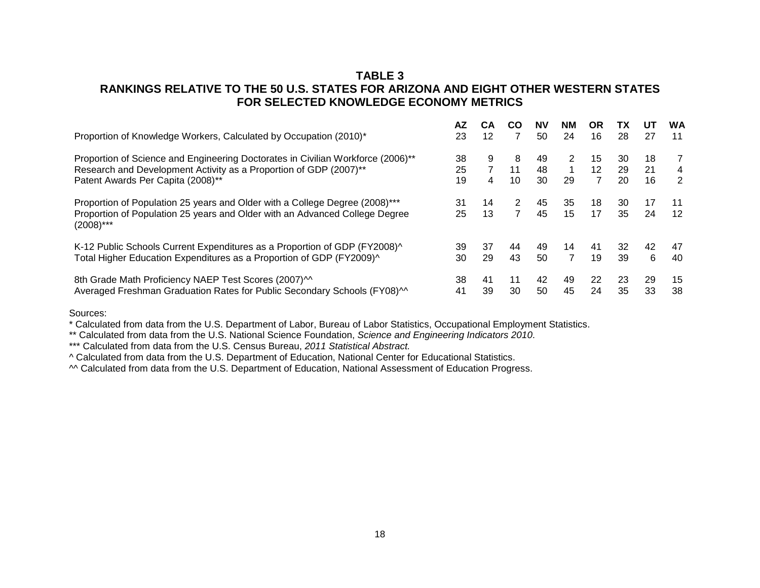# **TABLE 3 RANKINGS RELATIVE TO THE 50 U.S. STATES FOR ARIZONA AND EIGHT OTHER WESTERN STATES FOR SELECTED KNOWLEDGE ECONOMY METRICS**

|                                                                                                                                                                            | AZ       | CА             | <b>CO</b>           | <b>NV</b> | NΜ             | <b>OR</b> | ТΧ       | UT       | WA          |
|----------------------------------------------------------------------------------------------------------------------------------------------------------------------------|----------|----------------|---------------------|-----------|----------------|-----------|----------|----------|-------------|
| Proportion of Knowledge Workers, Calculated by Occupation (2010)*                                                                                                          | 23       | 12             | 7                   | 50        | 24             | 16        | 28       | 27       | 11          |
| Proportion of Science and Engineering Doctorates in Civilian Workforce (2006)**                                                                                            | 38       | 9              | 8                   | 49        | 2              | 15        | 30       | 18       | $7^{\circ}$ |
| Research and Development Activity as a Proportion of GDP (2007)**                                                                                                          | 25       | $\overline{7}$ | 11                  | 48        | 1              | 12        | 29       | 21       | 4           |
| Patent Awards Per Capita (2008)**                                                                                                                                          | 19       | 4              | 10                  | 30        | 29             | 7         | 20       | 16       | 2           |
| Proportion of Population 25 years and Older with a College Degree (2008)***<br>Proportion of Population 25 years and Older with an Advanced College Degree<br>$(2008)$ *** | 31<br>25 | 14<br>13       | 2<br>$\overline{7}$ | 45<br>45  | 35<br>15       | 18<br>17  | 30<br>35 | 17<br>24 | 11<br>12    |
| K-12 Public Schools Current Expenditures as a Proportion of GDP (FY2008)^                                                                                                  | 39       | 37             | 44                  | 49        | 14             | 41        | 32       | 42       | 47          |
| Total Higher Education Expenditures as a Proportion of GDP (FY2009)^                                                                                                       | 30       | 29             | 43                  | 50        | $\overline{7}$ | 19        | 39       | 6        | 40          |
| 8th Grade Math Proficiency NAEP Test Scores (2007) <sup>11</sup>                                                                                                           | 38       | 41             | 11                  | 42        | 49             | 22        | 23       | 29       | 15          |
| Averaged Freshman Graduation Rates for Public Secondary Schools (FY08) <sup><math>\text{M}</math></sup>                                                                    | 41       | 39             | 30                  | 50        | 45             | 24        | 35       | 33       | 38          |

Sources:

\* Calculated from data from the U.S. Department of Labor, Bureau of Labor Statistics, Occupational Employment Statistics.

\*\* Calculated from data from the U.S. National Science Foundation, *Science and Engineering Indicators 2010*.

\*\*\* Calculated from data from the U.S. Census Bureau, *2011 Statistical Abstract.*

^ Calculated from data from the U.S. Department of Education, National Center for Educational Statistics.

^^ Calculated from data from the U.S. Department of Education, National Assessment of Education Progress.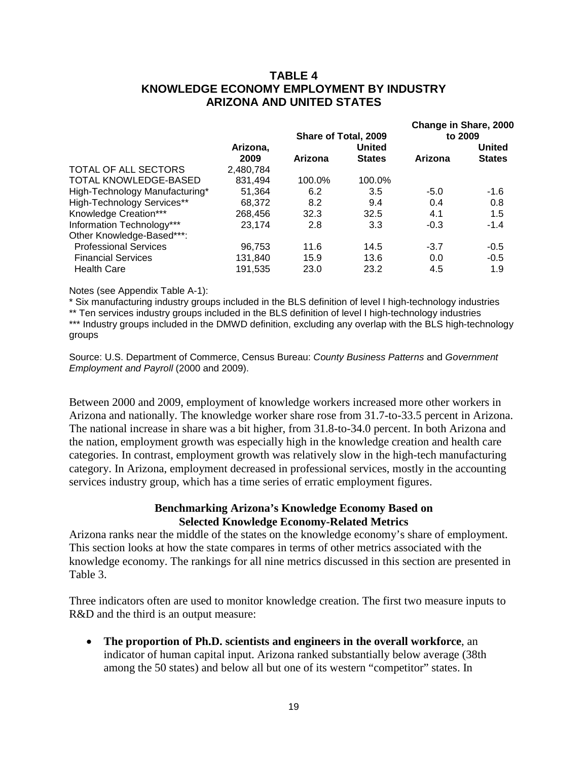# **TABLE 4 KNOWLEDGE ECONOMY EMPLOYMENT BY INDUSTRY ARIZONA AND UNITED STATES**

|           |         |               | Change in Share, 2000<br>to 2009 |               |  |  |
|-----------|---------|---------------|----------------------------------|---------------|--|--|
| Arizona,  |         | United        |                                  | United        |  |  |
| 2009      | Arizona | <b>States</b> | Arizona                          | <b>States</b> |  |  |
| 2,480,784 |         |               |                                  |               |  |  |
| 831.494   | 100.0%  | 100.0%        |                                  |               |  |  |
| 51,364    | 6.2     | 3.5           | $-5.0$                           | $-1.6$        |  |  |
| 68.372    | 8.2     | 9.4           | 0.4                              | 0.8           |  |  |
| 268,456   | 32.3    | 32.5          | 4.1                              | 1.5           |  |  |
| 23.174    | 2.8     | 3.3           | $-0.3$                           | $-1.4$        |  |  |
|           |         |               |                                  |               |  |  |
| 96.753    | 11.6    | 14.5          | $-3.7$                           | $-0.5$        |  |  |
| 131.840   | 15.9    | 13.6          | 0.0                              | $-0.5$        |  |  |
| 191,535   | 23.0    | 23.2          | 4.5                              | 1.9           |  |  |
|           |         |               | Share of Total, 2009             |               |  |  |

Notes (see Appendix Table A-1):

\* Six manufacturing industry groups included in the BLS definition of level I high-technology industries

\*\* Ten services industry groups included in the BLS definition of level I high-technology industries

\*\*\* Industry groups included in the DMWD definition, excluding any overlap with the BLS high-technology groups

Source: U.S. Department of Commerce, Census Bureau: *County Business Patterns* and *Government Employment and Payroll* (2000 and 2009).

Between 2000 and 2009, employment of knowledge workers increased more other workers in Arizona and nationally. The knowledge worker share rose from 31.7-to-33.5 percent in Arizona. The national increase in share was a bit higher, from 31.8-to-34.0 percent. In both Arizona and the nation, employment growth was especially high in the knowledge creation and health care categories. In contrast, employment growth was relatively slow in the high-tech manufacturing category. In Arizona, employment decreased in professional services, mostly in the accounting services industry group, which has a time series of erratic employment figures.

#### **Benchmarking Arizona's Knowledge Economy Based on Selected Knowledge Economy-Related Metrics**

Arizona ranks near the middle of the states on the knowledge economy's share of employment. This section looks at how the state compares in terms of other metrics associated with the knowledge economy. The rankings for all nine metrics discussed in this section are presented in Table 3.

Three indicators often are used to monitor knowledge creation. The first two measure inputs to R&D and the third is an output measure:

• **The proportion of Ph.D. scientists and engineers in the overall workforce**, an indicator of human capital input. Arizona ranked substantially below average (38th among the 50 states) and below all but one of its western "competitor" states. In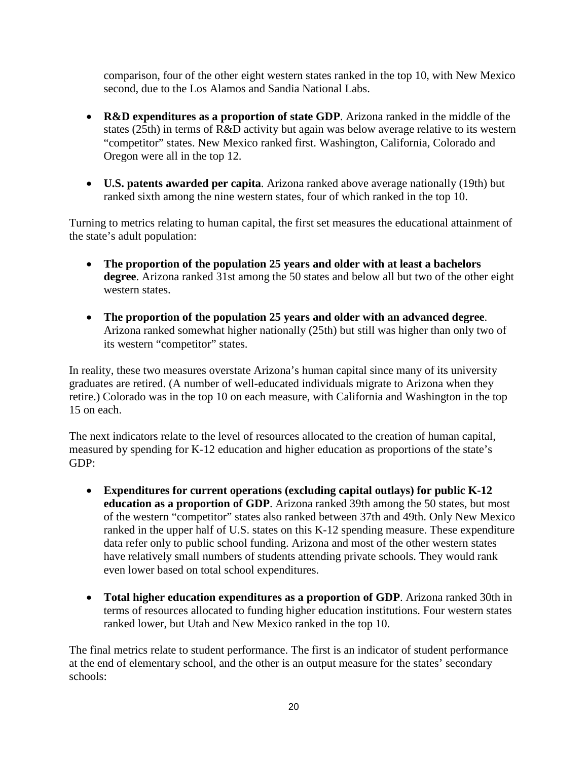comparison, four of the other eight western states ranked in the top 10, with New Mexico second, due to the Los Alamos and Sandia National Labs.

- **R&D expenditures as a proportion of state GDP**. Arizona ranked in the middle of the states (25th) in terms of R&D activity but again was below average relative to its western "competitor" states. New Mexico ranked first. Washington, California, Colorado and Oregon were all in the top 12.
- **U.S. patents awarded per capita**. Arizona ranked above average nationally (19th) but ranked sixth among the nine western states, four of which ranked in the top 10.

Turning to metrics relating to human capital, the first set measures the educational attainment of the state's adult population:

- **The proportion of the population 25 years and older with at least a bachelors degree**. Arizona ranked 31st among the 50 states and below all but two of the other eight western states.
- **The proportion of the population 25 years and older with an advanced degree**. Arizona ranked somewhat higher nationally (25th) but still was higher than only two of its western "competitor" states.

In reality, these two measures overstate Arizona's human capital since many of its university graduates are retired. (A number of well-educated individuals migrate to Arizona when they retire.) Colorado was in the top 10 on each measure, with California and Washington in the top 15 on each.

The next indicators relate to the level of resources allocated to the creation of human capital, measured by spending for K-12 education and higher education as proportions of the state's GDP:

- **Expenditures for current operations (excluding capital outlays) for public K-12 education as a proportion of GDP**. Arizona ranked 39th among the 50 states, but most of the western "competitor" states also ranked between 37th and 49th. Only New Mexico ranked in the upper half of U.S. states on this K-12 spending measure. These expenditure data refer only to public school funding. Arizona and most of the other western states have relatively small numbers of students attending private schools. They would rank even lower based on total school expenditures.
- **Total higher education expenditures as a proportion of GDP**. Arizona ranked 30th in terms of resources allocated to funding higher education institutions. Four western states ranked lower, but Utah and New Mexico ranked in the top 10.

The final metrics relate to student performance. The first is an indicator of student performance at the end of elementary school, and the other is an output measure for the states' secondary schools: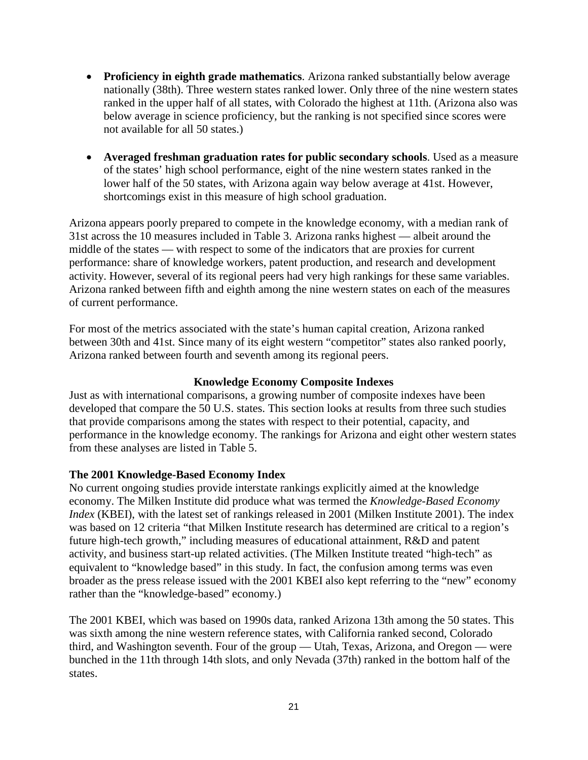- **Proficiency in eighth grade mathematics**. Arizona ranked substantially below average nationally (38th). Three western states ranked lower. Only three of the nine western states ranked in the upper half of all states, with Colorado the highest at 11th. (Arizona also was below average in science proficiency, but the ranking is not specified since scores were not available for all 50 states.)
- **Averaged freshman graduation rates for public secondary schools**. Used as a measure of the states' high school performance, eight of the nine western states ranked in the lower half of the 50 states, with Arizona again way below average at 41st. However, shortcomings exist in this measure of high school graduation.

Arizona appears poorly prepared to compete in the knowledge economy, with a median rank of 31st across the 10 measures included in Table 3. Arizona ranks highest — albeit around the middle of the states — with respect to some of the indicators that are proxies for current performance: share of knowledge workers, patent production, and research and development activity. However, several of its regional peers had very high rankings for these same variables. Arizona ranked between fifth and eighth among the nine western states on each of the measures of current performance.

For most of the metrics associated with the state's human capital creation, Arizona ranked between 30th and 41st. Since many of its eight western "competitor" states also ranked poorly, Arizona ranked between fourth and seventh among its regional peers.

# **Knowledge Economy Composite Indexes**

Just as with international comparisons, a growing number of composite indexes have been developed that compare the 50 U.S. states. This section looks at results from three such studies that provide comparisons among the states with respect to their potential, capacity, and performance in the knowledge economy. The rankings for Arizona and eight other western states from these analyses are listed in Table 5.

# **The 2001 Knowledge-Based Economy Index**

No current ongoing studies provide interstate rankings explicitly aimed at the knowledge economy. The Milken Institute did produce what was termed the *Knowledge-Based Economy Index* (KBEI), with the latest set of rankings released in 2001 (Milken Institute 2001). The index was based on 12 criteria "that Milken Institute research has determined are critical to a region's future high-tech growth," including measures of educational attainment, R&D and patent activity, and business start-up related activities. (The Milken Institute treated "high-tech" as equivalent to "knowledge based" in this study. In fact, the confusion among terms was even broader as the press release issued with the 2001 KBEI also kept referring to the "new" economy rather than the "knowledge-based" economy.)

The 2001 KBEI, which was based on 1990s data, ranked Arizona 13th among the 50 states. This was sixth among the nine western reference states, with California ranked second, Colorado third, and Washington seventh. Four of the group — Utah, Texas, Arizona, and Oregon — were bunched in the 11th through 14th slots, and only Nevada (37th) ranked in the bottom half of the states.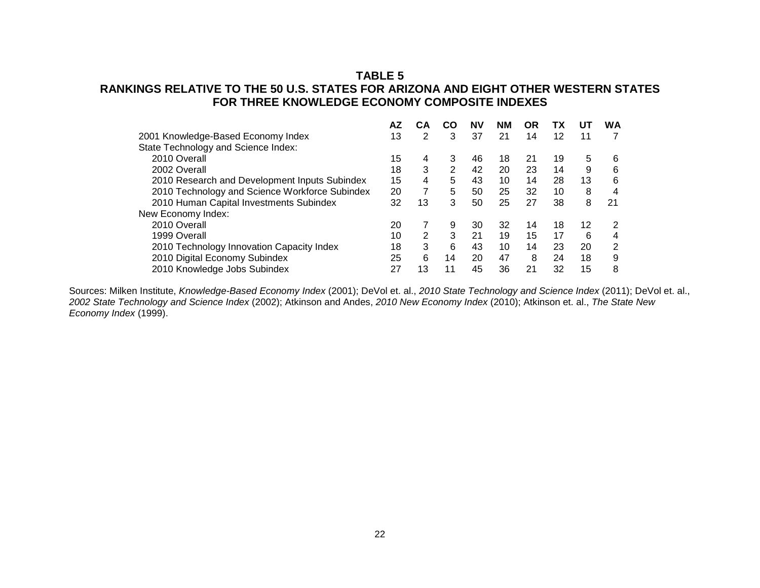# **TABLE 5**

# **RANKINGS RELATIVE TO THE 50 U.S. STATES FOR ARIZONA AND EIGHT OTHER WESTERN STATES FOR THREE KNOWLEDGE ECONOMY COMPOSITE INDEXES**

|                                                | AZ | CА | CO | ΝV | NΜ | OR | ТΧ | UТ | <b>WA</b>      |
|------------------------------------------------|----|----|----|----|----|----|----|----|----------------|
| 2001 Knowledge-Based Economy Index             | 13 | 2  | 3  | 37 | 21 | 14 | 12 | 11 | 7              |
| State Technology and Science Index:            |    |    |    |    |    |    |    |    |                |
| 2010 Overall                                   | 15 | 4  | 3  | 46 | 18 | 21 | 19 | 5  | 6              |
| 2002 Overall                                   | 18 | 3  | 2  | 42 | 20 | 23 | 14 | 9  | 6              |
| 2010 Research and Development Inputs Subindex  | 15 | 4  | 5  | 43 | 10 | 14 | 28 | 13 | 6              |
| 2010 Technology and Science Workforce Subindex | 20 | 7  | 5  | 50 | 25 | 32 | 10 | 8  | 4              |
| 2010 Human Capital Investments Subindex        | 32 | 13 | 3  | 50 | 25 | 27 | 38 | 8  | 21             |
| New Economy Index:                             |    |    |    |    |    |    |    |    |                |
| 2010 Overall                                   | 20 | 7  | 9  | 30 | 32 | 14 | 18 | 12 | $\overline{2}$ |
| 1999 Overall                                   | 10 | 2  | 3  | 21 | 19 | 15 | 17 | 6  | 4              |
| 2010 Technology Innovation Capacity Index      | 18 | 3  | 6  | 43 | 10 | 14 | 23 | 20 | 2              |
| 2010 Digital Economy Subindex                  | 25 | 6  | 14 | 20 | 47 | 8  | 24 | 18 | 9              |
| 2010 Knowledge Jobs Subindex                   | 27 | 13 | 11 | 45 | 36 | 21 | 32 | 15 | 8              |

Sources: Milken Institute, *Knowledge-Based Economy Index* (2001); DeVol et. al., *2010 State Technology and Science Index* (2011); DeVol et. al., *2002 State Technology and Science Index* (2002); Atkinson and Andes, *2010 New Economy Index* (2010); Atkinson et. al., *The State New Economy Index* (1999).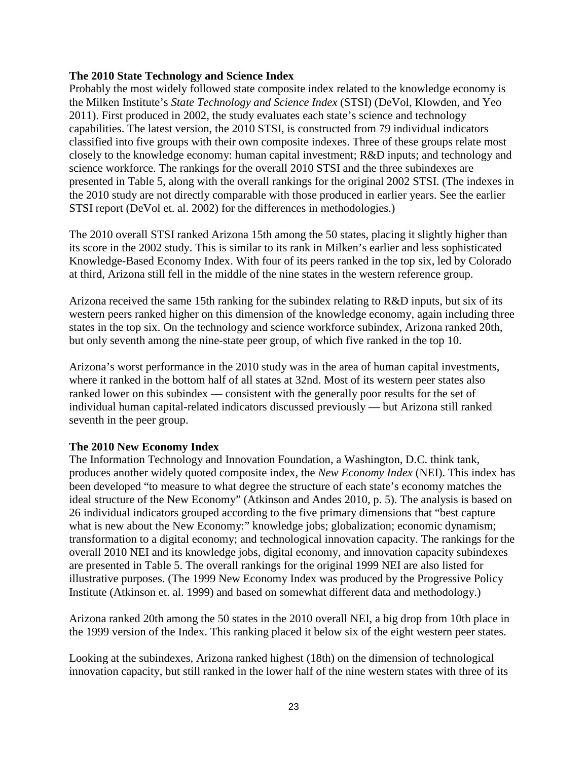# **The 2010 State Technology and Science Index**

Probably the most widely followed state composite index related to the knowledge economy is the Milken Institute's *State Technology and Science Index* (STSI) (DeVol, Klowden, and Yeo 2011). First produced in 2002, the study evaluates each state's science and technology capabilities. The latest version, the 2010 STSI, is constructed from 79 individual indicators classified into five groups with their own composite indexes. Three of these groups relate most closely to the knowledge economy: human capital investment; R&D inputs; and technology and science workforce. The rankings for the overall 2010 STSI and the three subindexes are presented in Table 5, along with the overall rankings for the original 2002 STSI. (The indexes in the 2010 study are not directly comparable with those produced in earlier years. See the earlier STSI report (DeVol et. al. 2002) for the differences in methodologies.)

The 2010 overall STSI ranked Arizona 15th among the 50 states, placing it slightly higher than its score in the 2002 study. This is similar to its rank in Milken's earlier and less sophisticated Knowledge-Based Economy Index. With four of its peers ranked in the top six, led by Colorado at third, Arizona still fell in the middle of the nine states in the western reference group.

Arizona received the same 15th ranking for the subindex relating to R&D inputs, but six of its western peers ranked higher on this dimension of the knowledge economy, again including three states in the top six. On the technology and science workforce subindex, Arizona ranked 20th, but only seventh among the nine-state peer group, of which five ranked in the top 10.

Arizona's worst performance in the 2010 study was in the area of human capital investments, where it ranked in the bottom half of all states at 32nd. Most of its western peer states also ranked lower on this subindex — consistent with the generally poor results for the set of individual human capital-related indicators discussed previously — but Arizona still ranked seventh in the peer group.

# **The 2010 New Economy Index**

The Information Technology and Innovation Foundation, a Washington, D.C. think tank, produces another widely quoted composite index, the *New Economy Index* (NEI). This index has been developed "to measure to what degree the structure of each state's economy matches the ideal structure of the New Economy" (Atkinson and Andes 2010, p. 5). The analysis is based on 26 individual indicators grouped according to the five primary dimensions that "best capture what is new about the New Economy:" knowledge jobs; globalization; economic dynamism; transformation to a digital economy; and technological innovation capacity. The rankings for the overall 2010 NEI and its knowledge jobs, digital economy, and innovation capacity subindexes are presented in Table 5. The overall rankings for the original 1999 NEI are also listed for illustrative purposes. (The 1999 New Economy Index was produced by the Progressive Policy Institute (Atkinson et. al. 1999) and based on somewhat different data and methodology.)

Arizona ranked 20th among the 50 states in the 2010 overall NEI, a big drop from 10th place in the 1999 version of the Index. This ranking placed it below six of the eight western peer states.

Looking at the subindexes, Arizona ranked highest (18th) on the dimension of technological innovation capacity, but still ranked in the lower half of the nine western states with three of its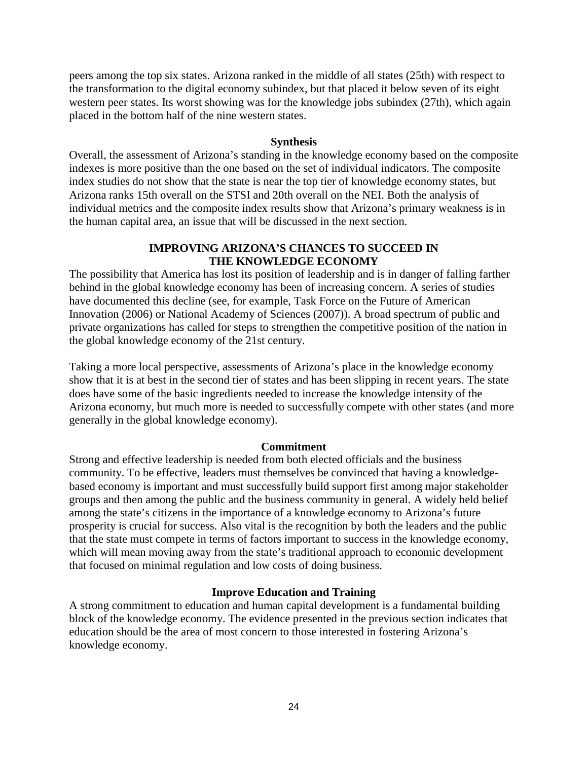peers among the top six states. Arizona ranked in the middle of all states (25th) with respect to the transformation to the digital economy subindex, but that placed it below seven of its eight western peer states. Its worst showing was for the knowledge jobs subindex (27th), which again placed in the bottom half of the nine western states.

# **Synthesis**

Overall, the assessment of Arizona's standing in the knowledge economy based on the composite indexes is more positive than the one based on the set of individual indicators. The composite index studies do not show that the state is near the top tier of knowledge economy states, but Arizona ranks 15th overall on the STSI and 20th overall on the NEI. Both the analysis of individual metrics and the composite index results show that Arizona's primary weakness is in the human capital area, an issue that will be discussed in the next section.

# **IMPROVING ARIZONA'S CHANCES TO SUCCEED IN THE KNOWLEDGE ECONOMY**

The possibility that America has lost its position of leadership and is in danger of falling farther behind in the global knowledge economy has been of increasing concern. A series of studies have documented this decline (see, for example, Task Force on the Future of American Innovation (2006) or National Academy of Sciences (2007)). A broad spectrum of public and private organizations has called for steps to strengthen the competitive position of the nation in the global knowledge economy of the 21st century.

Taking a more local perspective, assessments of Arizona's place in the knowledge economy show that it is at best in the second tier of states and has been slipping in recent years. The state does have some of the basic ingredients needed to increase the knowledge intensity of the Arizona economy, but much more is needed to successfully compete with other states (and more generally in the global knowledge economy).

# **Commitment**

Strong and effective leadership is needed from both elected officials and the business community. To be effective, leaders must themselves be convinced that having a knowledgebased economy is important and must successfully build support first among major stakeholder groups and then among the public and the business community in general. A widely held belief among the state's citizens in the importance of a knowledge economy to Arizona's future prosperity is crucial for success. Also vital is the recognition by both the leaders and the public that the state must compete in terms of factors important to success in the knowledge economy, which will mean moving away from the state's traditional approach to economic development that focused on minimal regulation and low costs of doing business.

# **Improve Education and Training**

A strong commitment to education and human capital development is a fundamental building block of the knowledge economy. The evidence presented in the previous section indicates that education should be the area of most concern to those interested in fostering Arizona's knowledge economy.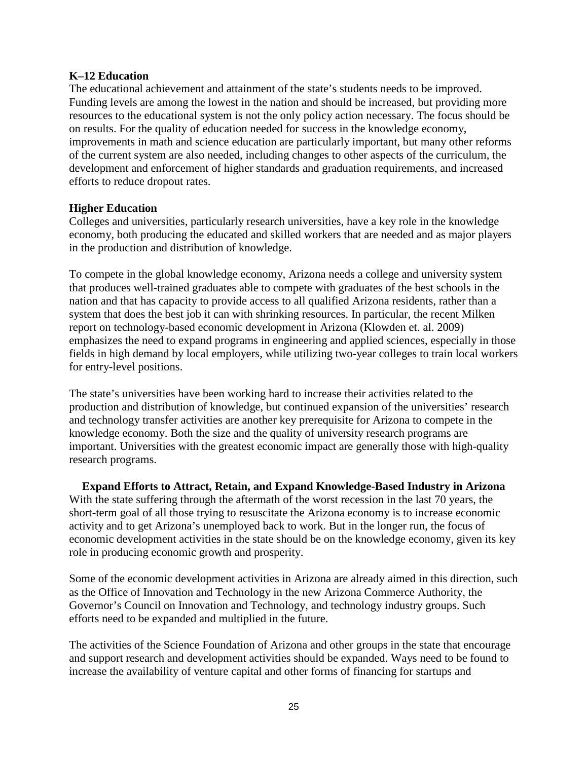# **K–12 Education**

The educational achievement and attainment of the state's students needs to be improved. Funding levels are among the lowest in the nation and should be increased, but providing more resources to the educational system is not the only policy action necessary. The focus should be on results. For the quality of education needed for success in the knowledge economy, improvements in math and science education are particularly important, but many other reforms of the current system are also needed, including changes to other aspects of the curriculum, the development and enforcement of higher standards and graduation requirements, and increased efforts to reduce dropout rates.

# **Higher Education**

Colleges and universities, particularly research universities, have a key role in the knowledge economy, both producing the educated and skilled workers that are needed and as major players in the production and distribution of knowledge.

To compete in the global knowledge economy, Arizona needs a college and university system that produces well-trained graduates able to compete with graduates of the best schools in the nation and that has capacity to provide access to all qualified Arizona residents, rather than a system that does the best job it can with shrinking resources. In particular, the recent Milken report on technology-based economic development in Arizona (Klowden et. al. 2009) emphasizes the need to expand programs in engineering and applied sciences, especially in those fields in high demand by local employers, while utilizing two-year colleges to train local workers for entry-level positions.

The state's universities have been working hard to increase their activities related to the production and distribution of knowledge, but continued expansion of the universities' research and technology transfer activities are another key prerequisite for Arizona to compete in the knowledge economy. Both the size and the quality of university research programs are important. Universities with the greatest economic impact are generally those with high-quality research programs.

**Expand Efforts to Attract, Retain, and Expand Knowledge-Based Industry in Arizona** With the state suffering through the aftermath of the worst recession in the last 70 years, the short-term goal of all those trying to resuscitate the Arizona economy is to increase economic activity and to get Arizona's unemployed back to work. But in the longer run, the focus of economic development activities in the state should be on the knowledge economy, given its key role in producing economic growth and prosperity.

Some of the economic development activities in Arizona are already aimed in this direction, such as the Office of Innovation and Technology in the new Arizona Commerce Authority, the Governor's Council on Innovation and Technology, and technology industry groups. Such efforts need to be expanded and multiplied in the future.

The activities of the Science Foundation of Arizona and other groups in the state that encourage and support research and development activities should be expanded. Ways need to be found to increase the availability of venture capital and other forms of financing for startups and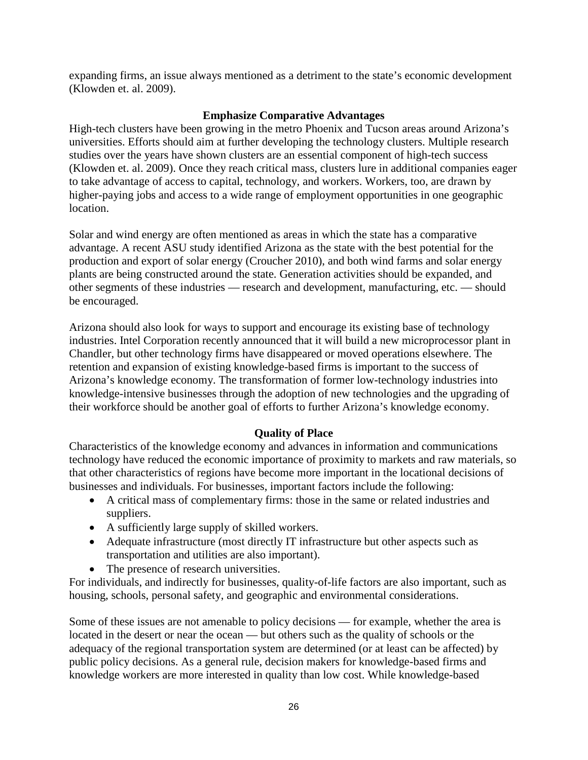expanding firms, an issue always mentioned as a detriment to the state's economic development (Klowden et. al. 2009).

# **Emphasize Comparative Advantages**

High-tech clusters have been growing in the metro Phoenix and Tucson areas around Arizona's universities. Efforts should aim at further developing the technology clusters. Multiple research studies over the years have shown clusters are an essential component of high-tech success (Klowden et. al. 2009). Once they reach critical mass, clusters lure in additional companies eager to take advantage of access to capital, technology, and workers. Workers, too, are drawn by higher-paying jobs and access to a wide range of employment opportunities in one geographic location.

Solar and wind energy are often mentioned as areas in which the state has a comparative advantage. A recent ASU study identified Arizona as the state with the best potential for the production and export of solar energy (Croucher 2010), and both wind farms and solar energy plants are being constructed around the state. Generation activities should be expanded, and other segments of these industries — research and development, manufacturing, etc. — should be encouraged.

Arizona should also look for ways to support and encourage its existing base of technology industries. Intel Corporation recently announced that it will build a new microprocessor plant in Chandler, but other technology firms have disappeared or moved operations elsewhere. The retention and expansion of existing knowledge-based firms is important to the success of Arizona's knowledge economy. The transformation of former low-technology industries into knowledge-intensive businesses through the adoption of new technologies and the upgrading of their workforce should be another goal of efforts to further Arizona's knowledge economy.

# **Quality of Place**

Characteristics of the knowledge economy and advances in information and communications technology have reduced the economic importance of proximity to markets and raw materials, so that other characteristics of regions have become more important in the locational decisions of businesses and individuals. For businesses, important factors include the following:

- A critical mass of complementary firms: those in the same or related industries and suppliers.
- A sufficiently large supply of skilled workers.
- Adequate infrastructure (most directly IT infrastructure but other aspects such as transportation and utilities are also important).
- The presence of research universities.

For individuals, and indirectly for businesses, quality-of-life factors are also important, such as housing, schools, personal safety, and geographic and environmental considerations.

Some of these issues are not amenable to policy decisions — for example, whether the area is located in the desert or near the ocean — but others such as the quality of schools or the adequacy of the regional transportation system are determined (or at least can be affected) by public policy decisions. As a general rule, decision makers for knowledge-based firms and knowledge workers are more interested in quality than low cost. While knowledge-based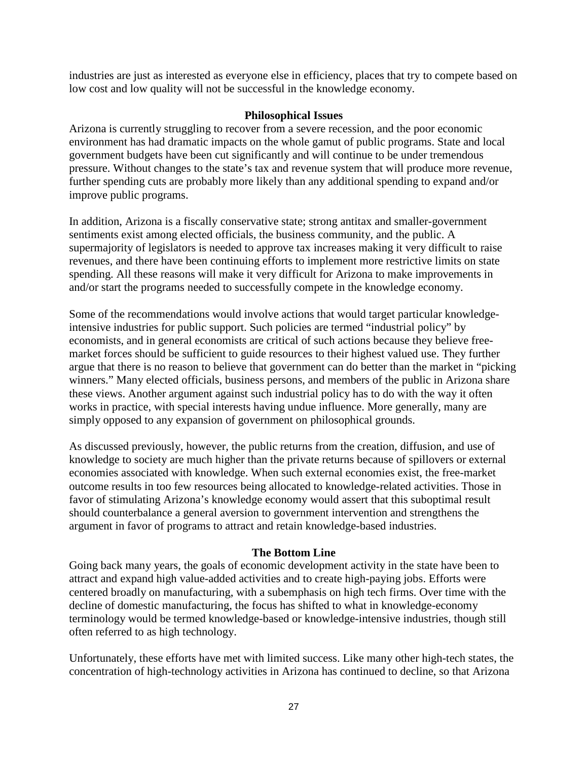industries are just as interested as everyone else in efficiency, places that try to compete based on low cost and low quality will not be successful in the knowledge economy.

# **Philosophical Issues**

Arizona is currently struggling to recover from a severe recession, and the poor economic environment has had dramatic impacts on the whole gamut of public programs. State and local government budgets have been cut significantly and will continue to be under tremendous pressure. Without changes to the state's tax and revenue system that will produce more revenue, further spending cuts are probably more likely than any additional spending to expand and/or improve public programs.

In addition, Arizona is a fiscally conservative state; strong antitax and smaller-government sentiments exist among elected officials, the business community, and the public. A supermajority of legislators is needed to approve tax increases making it very difficult to raise revenues, and there have been continuing efforts to implement more restrictive limits on state spending. All these reasons will make it very difficult for Arizona to make improvements in and/or start the programs needed to successfully compete in the knowledge economy.

Some of the recommendations would involve actions that would target particular knowledgeintensive industries for public support. Such policies are termed "industrial policy" by economists, and in general economists are critical of such actions because they believe freemarket forces should be sufficient to guide resources to their highest valued use. They further argue that there is no reason to believe that government can do better than the market in "picking winners." Many elected officials, business persons, and members of the public in Arizona share these views. Another argument against such industrial policy has to do with the way it often works in practice, with special interests having undue influence. More generally, many are simply opposed to any expansion of government on philosophical grounds.

As discussed previously, however, the public returns from the creation, diffusion, and use of knowledge to society are much higher than the private returns because of spillovers or external economies associated with knowledge. When such external economies exist, the free-market outcome results in too few resources being allocated to knowledge-related activities. Those in favor of stimulating Arizona's knowledge economy would assert that this suboptimal result should counterbalance a general aversion to government intervention and strengthens the argument in favor of programs to attract and retain knowledge-based industries.

# **The Bottom Line**

Going back many years, the goals of economic development activity in the state have been to attract and expand high value-added activities and to create high-paying jobs. Efforts were centered broadly on manufacturing, with a subemphasis on high tech firms. Over time with the decline of domestic manufacturing, the focus has shifted to what in knowledge-economy terminology would be termed knowledge-based or knowledge-intensive industries, though still often referred to as high technology.

Unfortunately, these efforts have met with limited success. Like many other high-tech states, the concentration of high-technology activities in Arizona has continued to decline, so that Arizona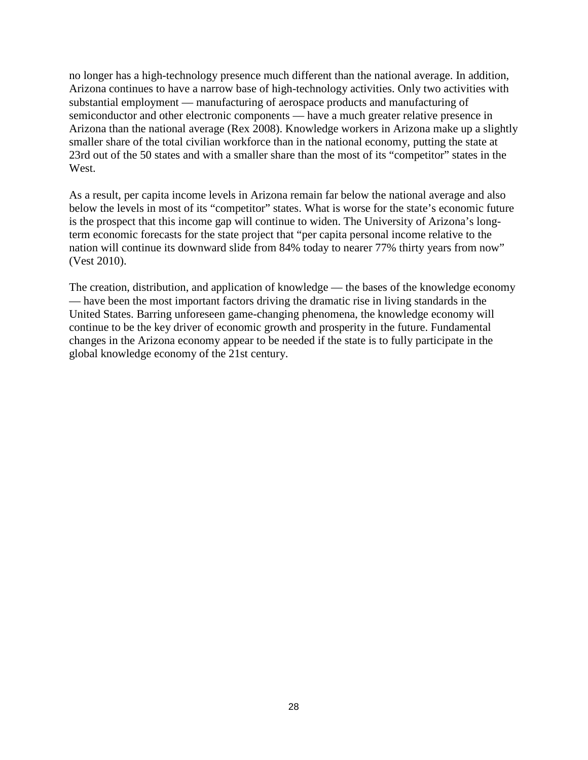no longer has a high-technology presence much different than the national average. In addition, Arizona continues to have a narrow base of high-technology activities. Only two activities with substantial employment — manufacturing of aerospace products and manufacturing of semiconductor and other electronic components — have a much greater relative presence in Arizona than the national average (Rex 2008). Knowledge workers in Arizona make up a slightly smaller share of the total civilian workforce than in the national economy, putting the state at 23rd out of the 50 states and with a smaller share than the most of its "competitor" states in the West.

As a result, per capita income levels in Arizona remain far below the national average and also below the levels in most of its "competitor" states. What is worse for the state's economic future is the prospect that this income gap will continue to widen. The University of Arizona's longterm economic forecasts for the state project that "per capita personal income relative to the nation will continue its downward slide from 84% today to nearer 77% thirty years from now" (Vest 2010).

The creation, distribution, and application of knowledge — the bases of the knowledge economy — have been the most important factors driving the dramatic rise in living standards in the United States. Barring unforeseen game-changing phenomena, the knowledge economy will continue to be the key driver of economic growth and prosperity in the future. Fundamental changes in the Arizona economy appear to be needed if the state is to fully participate in the global knowledge economy of the 21st century.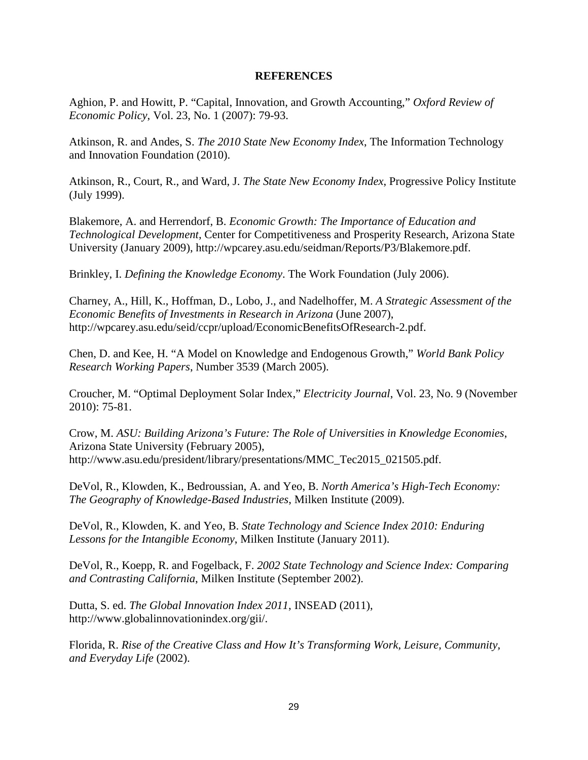#### **REFERENCES**

Aghion, P. and Howitt, P. "Capital, Innovation, and Growth Accounting," *Oxford Review of Economic Policy*, Vol. 23, No. 1 (2007): 79-93.

Atkinson, R. and Andes, S. *The 2010 State New Economy Index*, The Information Technology and Innovation Foundation (2010).

Atkinson, R., Court, R., and Ward, J. *The State New Economy Index*, Progressive Policy Institute (July 1999).

Blakemore, A. and Herrendorf, B. *Economic Growth: The Importance of Education and Technological Development*, Center for Competitiveness and Prosperity Research, Arizona State University (January 2009), http://wpcarey.asu.edu/seidman/Reports/P3/Blakemore.pdf.

Brinkley, I. *Defining the Knowledge Economy*. The Work Foundation (July 2006).

Charney, A., Hill, K., Hoffman, D., Lobo, J., and Nadelhoffer, M. *A Strategic Assessment of the Economic Benefits of Investments in Research in Arizona* (June 2007), http://wpcarey.asu.edu/seid/ccpr/upload/EconomicBenefitsOfResearch-2.pdf.

Chen, D. and Kee, H. "A Model on Knowledge and Endogenous Growth," *World Bank Policy Research Working Papers*, Number 3539 (March 2005).

Croucher, M. "Optimal Deployment Solar Index," *Electricity Journal*, Vol. 23, No. 9 (November 2010): 75-81.

Crow, M. *ASU: Building Arizona's Future: The Role of Universities in Knowledge Economies*, Arizona State University (February 2005), http://www.asu.edu/president/library/presentations/MMC\_Tec2015\_021505.pdf.

DeVol, R., Klowden, K., Bedroussian, A. and Yeo, B. *North America's High-Tech Economy: The Geography of Knowledge-Based Industries*, Milken Institute (2009).

DeVol, R., Klowden, K. and Yeo, B. *State Technology and Science Index 2010: Enduring Lessons for the Intangible Economy*, Milken Institute (January 2011).

DeVol, R., Koepp, R. and Fogelback, F. *2002 State Technology and Science Index: Comparing and Contrasting California*, Milken Institute (September 2002).

Dutta, S. ed. *The Global Innovation Index 2011*, INSEAD (2011), http://www.globalinnovationindex.org/gii/.

Florida, R. *Rise of the Creative Class and How It's Transforming Work, Leisure, Community, and Everyday Life* (2002).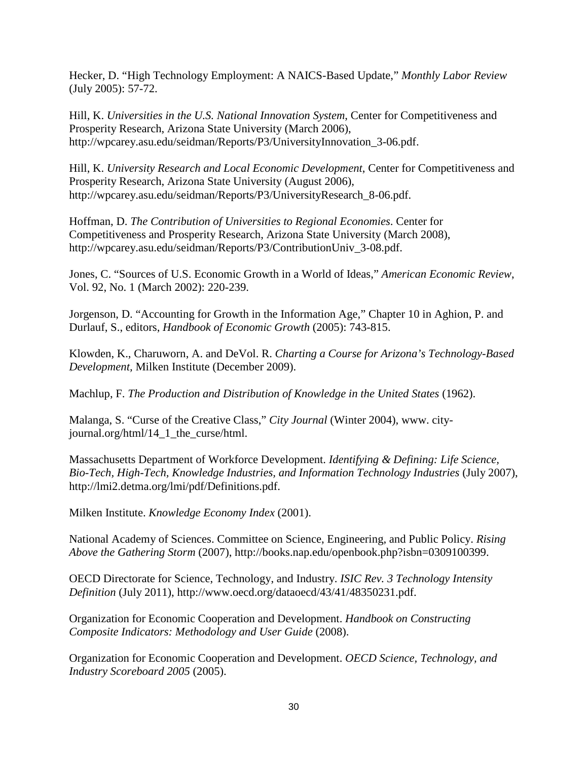Hecker, D. "High Technology Employment: A NAICS-Based Update," *Monthly Labor Review* (July 2005): 57-72.

Hill, K. *Universities in the U.S. National Innovation System*, Center for Competitiveness and Prosperity Research, Arizona State University (March 2006), http://wpcarey.asu.edu/seidman/Reports/P3/UniversityInnovation\_3-06.pdf.

Hill, K. *University Research and Local Economic Development*, Center for Competitiveness and Prosperity Research, Arizona State University (August 2006), http://wpcarey.asu.edu/seidman/Reports/P3/UniversityResearch\_8-06.pdf.

Hoffman, D. *The Contribution of Universities to Regional Economies*. Center for Competitiveness and Prosperity Research, Arizona State University (March 2008), http://wpcarey.asu.edu/seidman/Reports/P3/ContributionUniv\_3-08.pdf.

Jones, C. "Sources of U.S. Economic Growth in a World of Ideas," *American Economic Review*, Vol. 92, No. 1 (March 2002): 220-239.

Jorgenson, D. "Accounting for Growth in the Information Age," Chapter 10 in Aghion, P. and Durlauf, S., editors, *Handbook of Economic Growth* (2005): 743-815.

Klowden, K., Charuworn, A. and DeVol. R. *Charting a Course for Arizona's Technology-Based Development,* Milken Institute (December 2009).

Machlup, F. *The Production and Distribution of Knowledge in the United States* (1962).

Malanga, S. "Curse of the Creative Class," *City Journal* (Winter 2004), www. cityjournal.org/html/14\_1\_the\_curse/html.

Massachusetts Department of Workforce Development. *Identifying & Defining: Life Science, Bio-Tech, High-Tech, Knowledge Industries, and Information Technology Industries* (July 2007), http://lmi2.detma.org/lmi/pdf/Definitions.pdf.

Milken Institute. *Knowledge Economy Index* (2001).

National Academy of Sciences. Committee on Science, Engineering, and Public Policy. *Rising Above the Gathering Storm* (2007), http://books.nap.edu/openbook.php?isbn=0309100399.

OECD Directorate for Science, Technology, and Industry. *ISIC Rev. 3 Technology Intensity Definition* (July 2011), http://www.oecd.org/dataoecd/43/41/48350231.pdf.

Organization for Economic Cooperation and Development. *Handbook on Constructing Composite Indicators: Methodology and User Guide* (2008).

Organization for Economic Cooperation and Development. *OECD Science, Technology, and Industry Scoreboard 2005* (2005).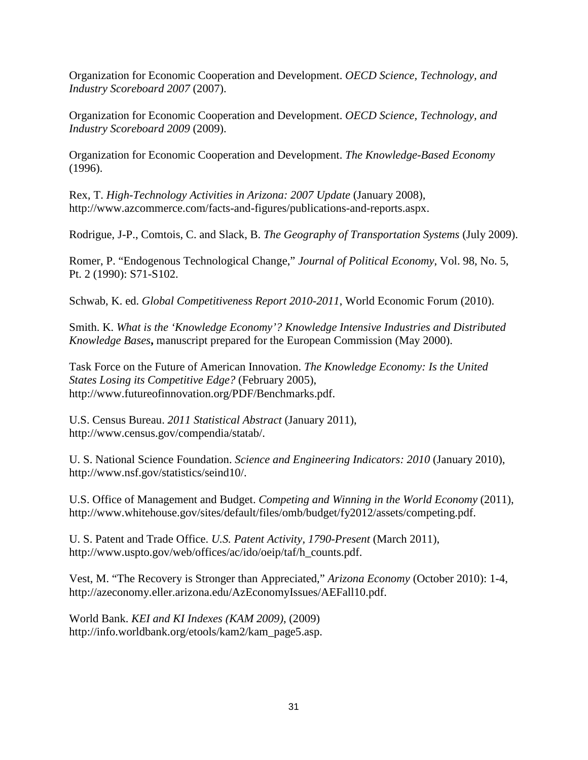Organization for Economic Cooperation and Development. *OECD Science, Technology, and Industry Scoreboard 2007* (2007).

Organization for Economic Cooperation and Development. *OECD Science, Technology, and Industry Scoreboard 2009* (2009).

Organization for Economic Cooperation and Development. *The Knowledge-Based Economy* (1996).

Rex, T. *High-Technology Activities in Arizona: 2007 Update* (January 2008), http://www.azcommerce.com/facts-and-figures/publications-and-reports.aspx.

Rodrigue, J-P., Comtois, C. and Slack, B. *The Geography of Transportation Systems* (July 2009).

Romer, P. "Endogenous Technological Change," *Journal of Political Economy*, Vol. 98, No. 5, Pt. 2 (1990): S71-S102.

Schwab, K. ed. *Global Competitiveness Report 2010-2011*, World Economic Forum (2010).

Smith. K. *What is the 'Knowledge Economy'? Knowledge Intensive Industries and Distributed Knowledge Bases***,** manuscript prepared for the European Commission (May 2000).

Task Force on the Future of American Innovation. *The Knowledge Economy: Is the United States Losing its Competitive Edge?* (February 2005), http://www.futureofinnovation.org/PDF/Benchmarks.pdf.

U.S. Census Bureau. *2011 Statistical Abstract* (January 2011), http://www.census.gov/compendia/statab/.

U. S. National Science Foundation. *Science and Engineering Indicators: 2010* (January 2010), http://www.nsf.gov/statistics/seind10/.

U.S. Office of Management and Budget. *Competing and Winning in the World Economy* (2011), http://www.whitehouse.gov/sites/default/files/omb/budget/fy2012/assets/competing.pdf.

U. S. Patent and Trade Office. *U.S. Patent Activity, 1790-Present* (March 2011), http://www.uspto.gov/web/offices/ac/ido/oeip/taf/h\_counts.pdf.

Vest, M. "The Recovery is Stronger than Appreciated," *Arizona Economy* (October 2010): 1-4, http://azeconomy.eller.arizona.edu/AzEconomyIssues/AEFall10.pdf.

World Bank. *KEI and KI Indexes (KAM 2009)*, (2009) http://info.worldbank.org/etools/kam2/kam\_page5.asp.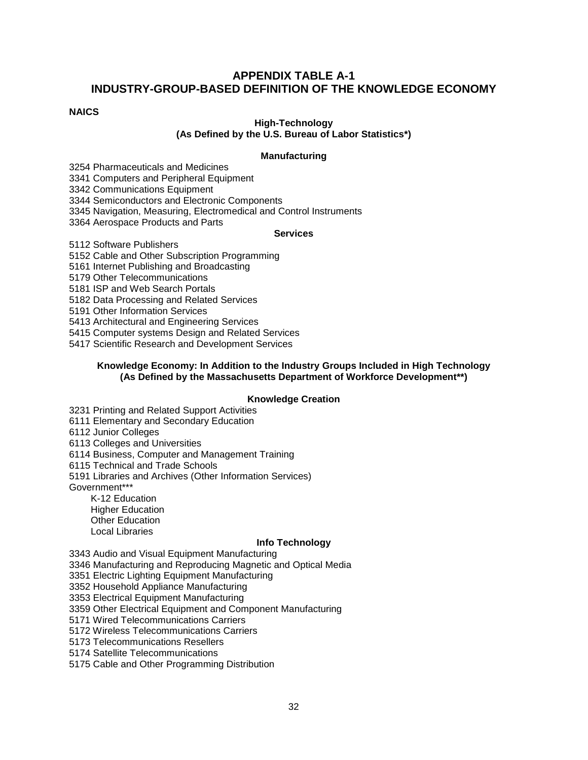# **APPENDIX TABLE A-1 INDUSTRY-GROUP-BASED DEFINITION OF THE KNOWLEDGE ECONOMY**

#### **NAICS**

#### **High-Technology (As Defined by the U.S. Bureau of Labor Statistics\*)**

#### **Manufacturing**

3254 Pharmaceuticals and Medicines 3341 Computers and Peripheral Equipment

3342 Communications Equipment

3344 Semiconductors and Electronic Components

3345 Navigation, Measuring, Electromedical and Control Instruments

3364 Aerospace Products and Parts

#### **Services**

5112 Software Publishers

5152 Cable and Other Subscription Programming

5161 Internet Publishing and Broadcasting

5179 Other Telecommunications

5181 ISP and Web Search Portals

5182 Data Processing and Related Services

5191 Other Information Services

5413 Architectural and Engineering Services

5415 Computer systems Design and Related Services

5417 Scientific Research and Development Services

#### **Knowledge Economy: In Addition to the Industry Groups Included in High Technology (As Defined by the Massachusetts Department of Workforce Development\*\*)**

#### **Knowledge Creation**

3231 Printing and Related Support Activities

6111 Elementary and Secondary Education

6112 Junior Colleges

6113 Colleges and Universities

6114 Business, Computer and Management Training

6115 Technical and Trade Schools

5191 Libraries and Archives (Other Information Services)

Government\*\*\*

K-12 Education Higher Education Other Education Local Libraries

#### **Info Technology**

3343 Audio and Visual Equipment Manufacturing

3346 Manufacturing and Reproducing Magnetic and Optical Media

3351 Electric Lighting Equipment Manufacturing

3352 Household Appliance Manufacturing

3353 Electrical Equipment Manufacturing

3359 Other Electrical Equipment and Component Manufacturing

5171 Wired Telecommunications Carriers

5172 Wireless Telecommunications Carriers

5173 Telecommunications Resellers

5174 Satellite Telecommunications

5175 Cable and Other Programming Distribution